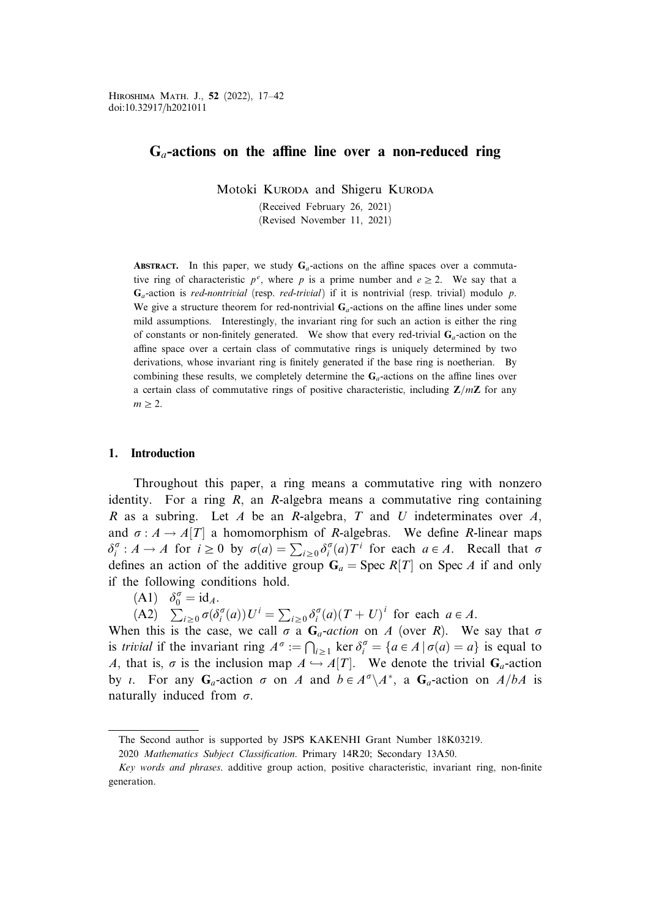# $G_a$ -actions on the affine line over a non-reduced ring

Motoki KURODA and Shigeru KURODA

(Received February 26, 2021)

(Revised November 11, 2021)

**ABSTRACT.** In this paper, we study  $G_a$ -actions on the affine spaces over a commutative ring of characteristic  $p^e$ , where p is a prime number and  $e \ge 2$ . We say that a  $G_a$ -action is red-nontrivial (resp. red-trivial) if it is nontrivial (resp. trivial) modulo p. We give a structure theorem for red-nontrivial  $G_a$ -actions on the affine lines under some mild assumptions. Interestingly, the invariant ring for such an action is either the ring of constants or non-finitely generated. We show that every red-trivial  $G_a$ -action on the affine space over a certain class of commutative rings is uniquely determined by two derivations, whose invariant ring is finitely generated if the base ring is noetherian. By combining these results, we completely determine the  $G_a$ -actions on the affine lines over a certain class of commutative rings of positive characteristic, including  $\mathbb{Z}/m\mathbb{Z}$  for any  $m \geq 2$ .

## 1. Introduction

Throughout this paper, a ring means a commutative ring with nonzero identity. For a ring  $R$ , an R-algebra means a commutative ring containing R as a subring. Let A be an R-algebra, T and U indeterminates over A, and  $\sigma : A \to A[T]$  a homomorphism of R-algebras. We define R-linear maps  $\delta_i^{\sigma}: A \to A$  for  $i \ge 0$  by  $\sigma(a) = \sum_{i \ge 0} \delta_i^{\sigma}(a) T^i$  for each  $a \in A$ . Recall that  $\sigma$ defines an action of the additive group  $G_a = \text{Spec } R[T]$  on Spec A if and only if the following conditions hold.

(A1)  $\delta_0^{\sigma} = id_A$ .

(A2)  $\sum_{i\geq 0} \sigma(\delta_i^{\sigma}(a)) U^i = \sum_{i\geq 0} \delta_i^{\sigma}(a) (T + U)^i$  for each  $a \in A$ .

When this is the case, we call  $\sigma$  a  $G_a$ -action on A (over R). We say that  $\sigma$ is *trivial* if the invariant ring  $A^{\sigma} := \bigcap_{i \geq 1} \ker \delta_i^{\sigma} = \{a \in A \mid \sigma(a) = a\}$  is equal to A, that is,  $\sigma$  is the inclusion map  $A \hookrightarrow A[T]$ . We denote the trivial  $G_a$ -action by *i*. For any  $G_a$ -action  $\sigma$  on A and  $b \in A^{\sigma} \backslash A^*$ , a  $G_a$ -action on  $A/bA$  is naturally induced from  $\sigma$ .

The Second author is supported by JSPS KAKENHI Grant Number 18K03219.

<sup>2020</sup> Mathematics Subject Classification. Primary 14R20; Secondary 13A50.

Key words and phrases. additive group action, positive characteristic, invariant ring, non-finite generation.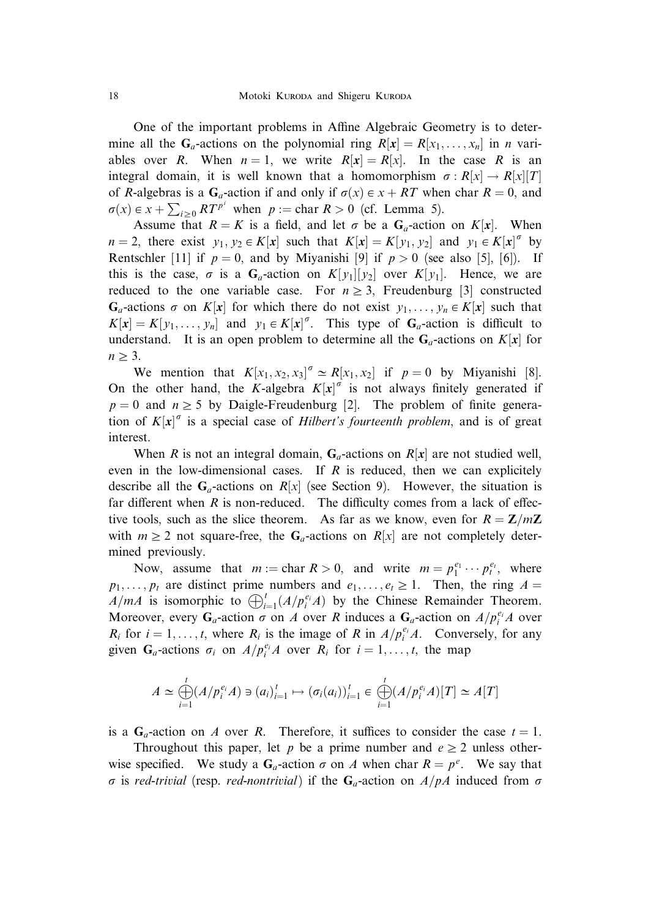One of the important problems in Affine Algebraic Geometry is to determine all the G<sub>a</sub>-actions on the polynomial ring  $R[x] = R[x_1, \ldots, x_n]$  in *n* variables over R. When  $n = 1$ , we write  $R[x] = R[x]$ . In the case R is an integral domain, it is well known that a homomorphism  $\sigma : R[x] \to R[x][T]$ of R-algebras is a  $G_a$ -action if and only if  $\sigma(x) \in x + RT$  when char  $R = 0$ , and  $\sigma(x) \in x + \sum_{i \geq 0} RT^{p^i}$  when  $p := \text{char } R > 0$  (cf. Lemma 5).

Assume that  $R = K$  is a field, and let  $\sigma$  be a  $G_a$ -action on  $K[x]$ . When  $n = 2$ , there exist  $y_1, y_2 \in K[x]$  such that  $K[x] = K[y_1, y_2]$  and  $y_1 \in K[x]^\sigma$  by Rentschler [11] if  $p = 0$ , and by Miyanishi [9] if  $p > 0$  (see also [5], [6]). If this is the case,  $\sigma$  is a  $G_a$ -action on  $K[y_1][y_2]$  over  $K[y_1]$ . Hence, we are reduced to the one variable case. For  $n \geq 3$ , Freudenburg [3] constructed  $G_a$ -actions  $\sigma$  on  $K[x]$  for which there do not exist  $y_1, \ldots, y_n \in K[x]$  such that  $K[x] = K[y_1, \ldots, y_n]$  and  $y_1 \in K[x]^\sigma$ . This type of  $G_a$ -action is difficult to understand. It is an open problem to determine all the  $G_a$ -actions on  $K[x]$  for  $n \geq 3$ .

We mention that  $K[x_1, x_2, x_3]^{\sigma} \simeq R[x_1, x_2]$  if  $p = 0$  by Miyanishi [8]. On the other hand, the K-algebra  $K[x]^\sigma$  is not always finitely generated if  $p = 0$  and  $n \ge 5$  by Daigle-Freudenburg [2]. The problem of finite generation of  $K[x]^\sigma$  is a special case of Hilbert's fourteenth problem, and is of great interest.

When R is not an integral domain,  $G_a$ -actions on  $R[x]$  are not studied well, even in the low-dimensional cases. If R is reduced, then we can explicitely describe all the  $G_a$ -actions on  $R[x]$  (see Section 9). However, the situation is far different when  $R$  is non-reduced. The difficulty comes from a lack of effective tools, such as the slice theorem. As far as we know, even for  $R = \mathbb{Z}/m\mathbb{Z}$ with  $m \geq 2$  not square-free, the G<sub>a</sub>-actions on R[x] are not completely determined previously.

Now, assume that  $m := \text{char } R > 0$ , and write  $m = p_1^{e_1} \cdots p_t^{e_t}$ , where  $p_1, \ldots, p_t$  are distinct prime numbers and  $e_1, \ldots, e_t \ge 1$ . Then, the ring  $A =$  $A/mA$  is isomorphic to  $\bigoplus_{i=1}^{t} (A/p_i^{e_i}A)$  by the Chinese Remainder Theorem. Moreover, every  $G_a$ -action  $\sigma$  on A over R induces a  $G_a$ -action on  $A/p_i^{e_i}A$  over  $R_i$  for  $i = 1, ..., t$ , where  $R_i$  is the image of R in  $A/p_i^{e_i}A$ . Conversely, for any given  $G_a$ -actions  $\sigma_i$  on  $A/p_i^{e_i}A$  over  $R_i$  for  $i = 1, \ldots, t$ , the map

$$
A \simeq \bigoplus_{i=1}^t (A/p_i^{e_i}A) \ni (a_i)_{i=1}^t \mapsto (\sigma_i(a_i))_{i=1}^t \in \bigoplus_{i=1}^t (A/p_i^{e_i}A)[T] \simeq A[T]
$$

is a  $G_a$ -action on A over R. Therefore, it suffices to consider the case  $t = 1$ .

Throughout this paper, let p be a prime number and  $e \geq 2$  unless otherwise specified. We study a  $G_a$ -action  $\sigma$  on A when char  $R = p^e$ . We say that  $\sigma$  is red-trivial (resp. red-nontrivial) if the G<sub>a</sub>-action on  $A/pA$  induced from  $\sigma$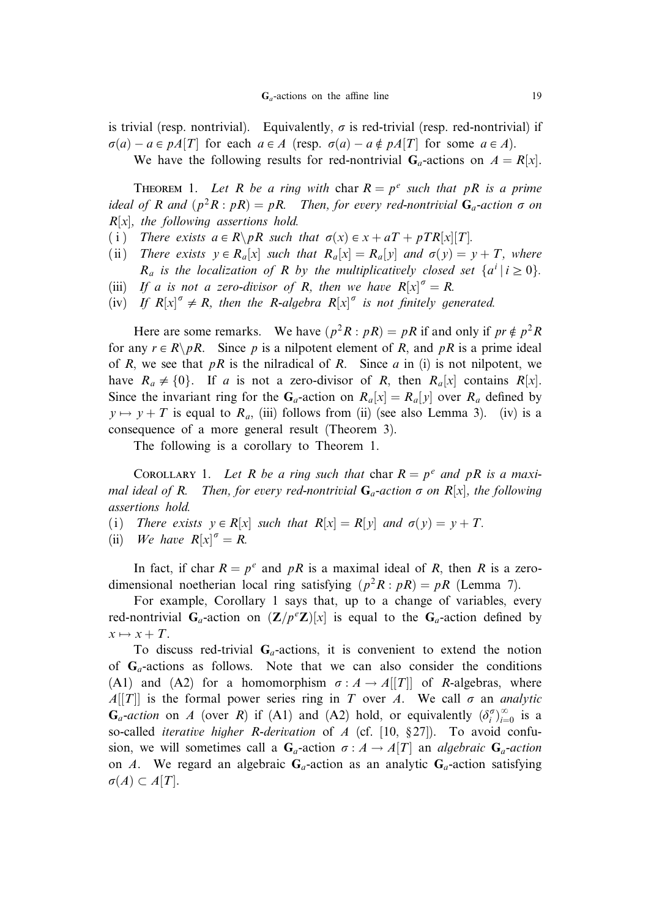is trivial (resp. nontrivial). Equivalently,  $\sigma$  is red-trivial (resp. red-nontrivial) if  $\sigma(a) - a \in pA[T]$  for each  $a \in A$  (resp.  $\sigma(a) - a \notin pA[T]$  for some  $a \in A$ ).

We have the following results for red-nontrivial  $G_a$ -actions on  $A = R[x]$ .

THEOREM 1. Let R be a ring with char  $R = p^e$  such that pR is a prime ideal of R and  $(p^2R : pR) = pR$ . Then, for every red-nontrivial  $G_a$ -action  $\sigma$  on  $R[x]$ , the following assertions hold.

- (i) There exists  $a \in R \backslash pR$  such that  $\sigma(x) \in x + aT + pTR[x][T]$ .
- (ii) There exists  $y \in R_a[x]$  such that  $R_a[x] = R_a[y]$  and  $\sigma(y) = y + T$ , where  $R_a$  is the localization of R by the multiplicatively closed set  $\{a^i \mid i \ge 0\}$ .
- (iii) If a is not a zero-divisor of R, then we have  $R[x]^\sigma = R$ .
- (iv) If  $R[x]^\sigma \neq R$ , then the R-algebra  $R[x]^\sigma$  is not finitely generated.

Here are some remarks. We have  $(p^2R : pR) = pR$  if and only if  $pr \notin p^2R$ for any  $r \in R \backslash pR$ . Since p is a nilpotent element of R, and pR is a prime ideal of R, we see that  $pR$  is the nilradical of R. Since a in (i) is not nilpotent, we have  $R_a \neq \{0\}$ . If a is not a zero-divisor of R, then  $R_a[x]$  contains  $R[x]$ . Since the invariant ring for the G<sub>a</sub>-action on  $R_a[x] = R_a[y]$  over  $R_a$  defined by  $y \mapsto y + T$  is equal to  $R_a$ , (iii) follows from (ii) (see also Lemma 3). (iv) is a consequence of a more general result (Theorem 3).

The following is a corollary to Theorem 1.

COROLLARY 1. Let R be a ring such that char  $R = p^e$  and pR is a maximal ideal of R. Then, for every red-nontrivial  $G_a$ -action  $\sigma$  on R[x], the following assertions hold.

- (i) There exists  $y \in R[x]$  such that  $R[x] = R[y]$  and  $\sigma(y) = y + T$ .
- (ii) We have  $R[x]^\sigma = R$ .

In fact, if char  $R = p^e$  and pR is a maximal ideal of R, then R is a zerodimensional noetherian local ring satisfying  $(p^2R : pR) = pR$  (Lemma 7).

For example, Corollary 1 says that, up to a change of variables, every red-nontrivial  $G_a$ -action on  $(\mathbf{Z}/p^e\mathbf{Z})[x]$  is equal to the  $G_a$ -action defined by  $x \mapsto x + T.$ 

To discuss red-trivial  $G_a$ -actions, it is convenient to extend the notion of  $G_a$ -actions as follows. Note that we can also consider the conditions (A1) and (A2) for a homomorphism  $\sigma : A \rightarrow A[[T]]$  of R-algebras, where  $A[[T]]$  is the formal power series ring in T over A. We call  $\sigma$  an *analytic*  $G_a$ -action on A (over R) if (A1) and (A2) hold, or equivalently  $(\delta_i^{\sigma})_{i=0}^{\infty}$  is a so-called *iterative higher R-derivation* of A (cf. [10,  $\S 27$ ]). To avoid confusion, we will sometimes call a  $G_a$ -action  $\sigma : A \to A[T]$  an *algebraic*  $G_a$ -action on A. We regard an algebraic  $G_a$ -action as an analytic  $G_a$ -action satisfying  $\sigma(A) \subset A[T]$ .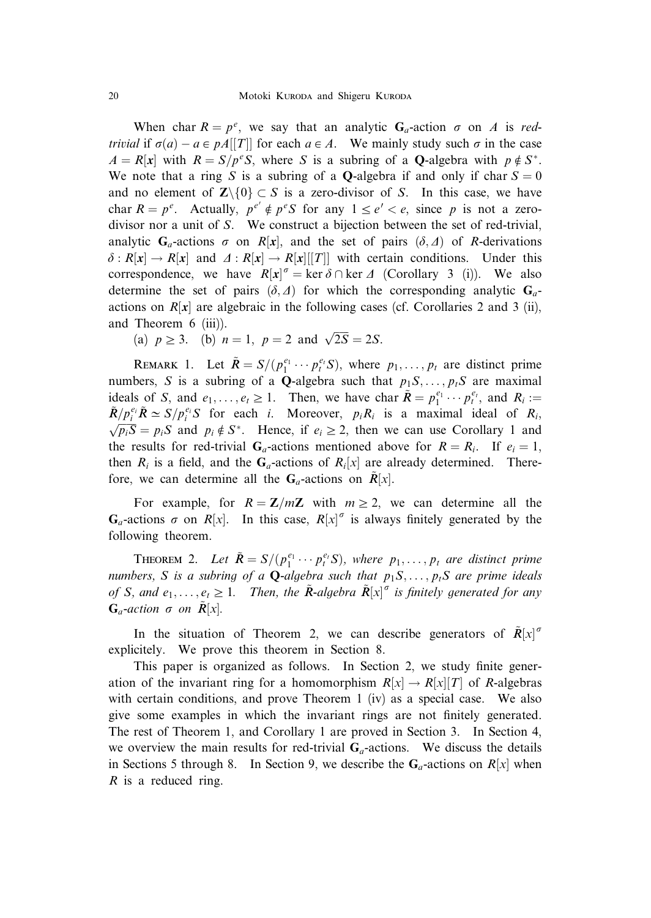When char  $R = p^e$ , we say that an analytic  $G_a$ -action  $\sigma$  on A is redtrivial if  $\sigma(a) - a \in pA[[T]]$  for each  $a \in A$ . We mainly study such  $\sigma$  in the case  $A = R[x]$  with  $R = S/p^eS$ , where S is a subring of a **Q**-algebra with  $p \notin S^*$ . We note that a ring S is a subring of a **O**-algebra if and only if char  $S = 0$ and no element of  $\mathbb{Z}\setminus\{0\}\subset S$  is a zero-divisor of S. In this case, we have char  $R = p^e$ . Actually,  $p^{e'} \notin p^eS$  for any  $1 \le e' < e$ , since p is not a zerodivisor nor a unit of S. We construct a bijection between the set of red-trivial, analytic  $G_a$ -actions  $\sigma$  on R[x], and the set of pairs  $(\delta, \Delta)$  of R-derivations  $\delta: R[x] \to R[x]$  and  $\Delta: R[x] \to R[x][T]]$  with certain conditions. Under this correspondence, we have  $R[x]^\sigma = \ker \delta \cap \ker \Delta$  (Corollary 3 (i)). We also determine the set of pairs  $(\delta, \Delta)$  for which the corresponding analytic  $G_a$ actions on  $R[x]$  are algebraic in the following cases (cf. Corollaries 2 and 3 (ii), and Theorem 6 (iii)).

(a)  $p \ge 3$ . (b)  $n = 1$ ,  $p = 2$  and  $\sqrt{2S} = 2S$ .

REMARK 1. Let  $\tilde{R} = S/(p_1^{e_1} \cdots p_t^{e_t} S)$ , where  $p_1, \ldots, p_t$  are distinct prime numbers, S is a subring of a Q-algebra such that  $p_1S, \ldots, p_tS$  are maximal ideals of S, and  $e_1, \ldots, e_t \ge 1$ . Then, we have char  $\tilde{R} = p_1^{e_1} \cdots p_t^{e_t}$ , and  $R_i :=$  $\tilde{R}/p_i^{e_i} \tilde{R} \simeq S/p_i^{e_i} S$  for each *i*. Moreover,  $p_i R_i$  is a maximal ideal of  $R_i$ ,  $\overline{S} = R S$  and  $R A S^*$ . Hence if  $e > 2$ , then we can use Corollary 1 and  $\sqrt{p_iS} = p_iS$  and  $p_i \notin S^*$ . Hence, if  $e_i \ge 2$ , then we can use Corollary 1 and the results for red-trivial  $G_a$ -actions mentioned above for  $R = R_i$ . If  $e_i = 1$ , then  $R_i$  is a field, and the  $G_a$ -actions of  $R_i[x]$  are already determined. Therefore, we can determine all the  $G_a$ -actions on  $R[x]$ .

For example, for  $R = \mathbb{Z}/m\mathbb{Z}$  with  $m \geq 2$ , we can determine all the  $G_a$ -actions  $\sigma$  on  $R[x]$ . In this case,  $R[x]^\sigma$  is always finitely generated by the following theorem.

**THEOREM 2.** Let  $\tilde{R} = S/(p_1^{e_1} \cdots p_t^{e_t} S)$ , where  $p_1, \ldots, p_t$  are distinct prime numbers, S is a subring of a **Q**-algebra such that  $p_1S, \ldots, p_tS$  are prime ideals of S, and  $e_1, \ldots, e_t \geq 1$ . Then, the  $\tilde{R}$ -algebra  $\tilde{R}[x]^{\sigma}$  is finitely generated for any  $G_a$ -action  $\sigma$  on  $R[x]$ .

In the situation of Theorem 2, we can describe generators of  $\tilde{R}[x]$ <sup>o</sup> explicitely. We prove this theorem in Section 8.

This paper is organized as follows. In Section 2, we study finite generation of the invariant ring for a homomorphism  $R[x] \rightarrow R[x][T]$  of R-algebras with certain conditions, and prove Theorem 1 (iv) as a special case. We also give some examples in which the invariant rings are not finitely generated. The rest of Theorem 1, and Corollary 1 are proved in Section 3. In Section 4, we overview the main results for red-trivial  $G_a$ -actions. We discuss the details in Sections 5 through 8. In Section 9, we describe the  $G_a$ -actions on  $R[x]$  when  $R$  is a reduced ring.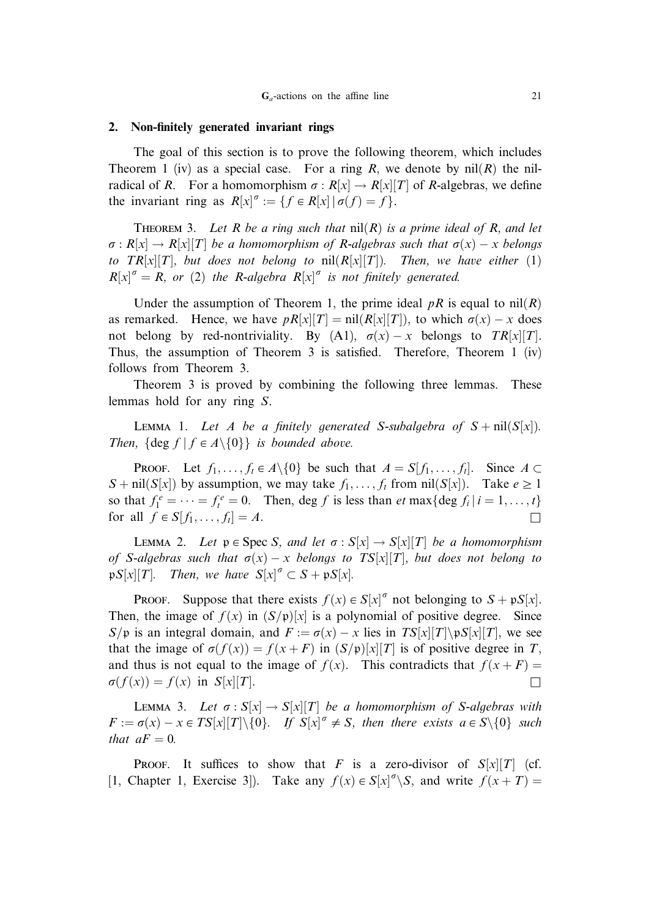# 2. Non-finitely generated invariant rings

The goal of this section is to prove the following theorem, which includes Theorem 1 (iv) as a special case. For a ring R, we denote by  $nil(R)$  the nilradical of R. For a homomorphism  $\sigma : R[x] \to R[x][T]$  of R-algebras, we define the invariant ring as  $R[x]^\sigma := \{ f \in R[x] \mid \sigma(f) = f \}.$ 

THEOREM 3. Let R be a ring such that  $nil(R)$  is a prime ideal of R, and let  $\sigma: R[x] \to R[x][T]$  be a homomorphism of R-algebras such that  $\sigma(x) - x$  belongs to  $TR[x][T]$ , but does not belong to  $nil(R[x][T])$ . Then, we have either (1)  $R[x]$ <sup> $\sigma$ </sup> = R, or (2) the R-algebra  $R[x]$ <sup> $\sigma$ </sup> is not finitely generated.

Under the assumption of Theorem 1, the prime ideal  $pR$  is equal to nil $(R)$ as remarked. Hence, we have  $pR[x][T] = \text{nil}(R[x][T])$ , to which  $\sigma(x) - x$  does not belong by red-nontriviality. By (A1),  $\sigma(x) - x$  belongs to TR[x][T]. Thus, the assumption of Theorem 3 is satisfied. Therefore, Theorem 1 (iv) follows from Theorem 3.

Theorem 3 is proved by combining the following three lemmas. These lemmas hold for any ring S.

LEMMA 1. Let A be a finitely generated S-subalgebra of  $S + \text{nil}(S[x])$ . Then,  $\{\text{deg } f \mid f \in A \setminus \{0\}\}\$ is bounded above.

**PROOF.** Let  $f_1, \ldots, f_t \in A \setminus \{0\}$  be such that  $A = S[f_1, \ldots, f_t]$ . Since  $A \subset$  $S + \text{nil}(S[x])$  by assumption, we may take  $f_1, \ldots, f_t$  from nil $(S[x])$ . Take  $e \ge 1$ so that  $f_1^e = \cdots = f_t^e = 0$ . Then, deg f is less than  $et \max\{\text{deg } f_i | i = 1, \ldots, t\}$ for all  $f \in S[f_1, \ldots, f_t] = A$ .

LEMMA 2. Let  $p \in \text{Spec } S$ , and let  $\sigma : S[x] \to S[x][T]$  be a homomorphism of S-algebras such that  $\sigma(x) - x$  belongs to TS[x][T], but does not belong to  $\mathfrak{p}S[x][T]$ . Then, we have  $S[x]^\sigma \subset S + \mathfrak{p}S[x]$ .

PROOF. Suppose that there exists  $f(x) \in S[x]^\sigma$  not belonging to  $S + \mathfrak{p}S[x]$ . Then, the image of  $f(x)$  in  $(S/p)[x]$  is a polynomial of positive degree. Since  $S/p$  is an integral domain, and  $F := \sigma(x) - x$  lies in  $TS[x][T]\setminus pS[x][T]$ , we see that the image of  $\sigma(f(x)) = f(x+F)$  in  $(S/p)[x][T]$  is of positive degree in T, and thus is not equal to the image of  $f(x)$ . This contradicts that  $f(x+F)$  $\sigma(f(x)) = f(x)$  in  $S[x][T]$ .

LEMMA 3. Let  $\sigma : S[x] \to S[x][T]$  be a homomorphism of S-algebras with  $F := \sigma(x) - x \in TS[x][T] \setminus \{0\}$ . If  $S[x]^\sigma \neq S$ , then there exists  $a \in S \setminus \{0\}$  such that  $aF = 0$ .

PROOF. It suffices to show that F is a zero-divisor of  $S[x][T]$  (cf. [1, Chapter 1, Exercise 3]). Take any  $f(x) \in S[x]^\sigma \backslash S$ , and write  $f(x+T) =$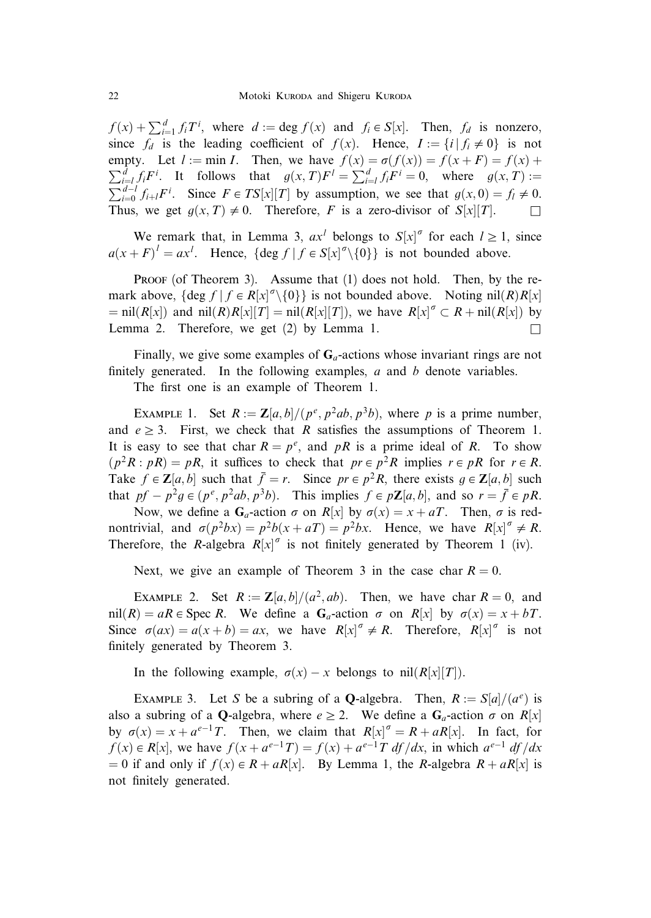$f(x) + \sum_{i=1}^{d} f_i T^i$ , where  $d := \deg f(x)$  and  $f_i \in S[x]$ . Then,  $f_d$  is nonzero, since  $f_d$  is the leading coefficient of  $f(x)$ . Hence,  $I := \{i | f_i \neq 0\}$  is not empty. Let  $l := \min I$ . Then, we have  $f(x) = \sigma(f(x)) = f(x+F) = f(x) +$  $\sum_{i=1}^{d} f_i F^i$ . It follows that  $g(x, T) F^i = \sum_{i=1}^{d} f_i F^i = 0$ , where  $g(x, T) :=$ <br> $\sum_{i=1}^{d-1} f_i F^i$ . Since  $F \in TS[x][T]$  by assumption we see that  $g(x, 0) = f \neq 0$ .  $\int_{i=0}^{d-l} f_{i+l} F^i$ . Since  $F \in TS[x][T]$  by assumption, we see that  $g(x, 0) = f_l \neq 0$ . Thus, we get  $q(x, T) \neq 0$ . Therefore, F is a zero-divisor of  $S[x][T]$ .

We remark that, in Lemma 3,  $ax^{l}$  belongs to  $S[x]^{\sigma}$  for each  $l \ge 1$ , since  $a(x+F)^{l} = ax^{l}$ . Hence,  $\{\deg f \mid f \in S[x]^{\sigma} \setminus \{0\}\}\$ is not bounded above.

PROOF (of Theorem 3). Assume that (1) does not hold. Then, by the remark above,  $\{\deg f | f \in R[x]^{\sigma} \setminus \{0\}\}\$ is not bounded above. Noting nil $(R)R[x]$  $= \text{nil}(R[x])$  and  $\text{nil}(R)R[x][T] = \text{nil}(R[x][T])$ , we have  $R[x]^\sigma \subset R + \text{nil}(R[x])$  by Lemma 2. Therefore, we get  $(2)$  by Lemma 1.

Finally, we give some examples of  $G_a$ -actions whose invariant rings are not finitely generated. In the following examples,  $a$  and  $b$  denote variables.

The first one is an example of Theorem 1.

EXAMPLE 1. Set  $R := \mathbb{Z}[a,b]/(p^e, p^2ab, p^3b)$ , where p is a prime number, and  $e \geq 3$ . First, we check that R satisfies the assumptions of Theorem 1. It is easy to see that char  $R = p^e$ , and pR is a prime ideal of R. To show  $(p^2R : pR) = pR$ , it suffices to check that  $pr \in p^2R$  implies  $r \in pR$  for  $r \in R$ . Take  $f \in \mathbb{Z}[a, b]$  such that  $\bar{f} = r$ . Since  $pr \in p^2R$ , there exists  $g \in \mathbb{Z}[a, b]$  such that  $pf - p^2g \in (p^e, p^2ab, p^3b)$ . This implies  $f \in p\mathbb{Z}[a, b]$ , and so  $r = \overline{f} \in pR$ .

Now, we define a  $G_a$ -action  $\sigma$  on  $R[x]$  by  $\sigma(x) = x + aT$ . Then,  $\sigma$  is rednontrivial, and  $\sigma(p^2bx) = p^2b(x+aT) = p^2bx$ . Hence, we have  $R[x]^{\sigma} \neq R$ . Therefore, the R-algebra  $R[x]^\sigma$  is not finitely generated by Theorem 1 (iv).

Next, we give an example of Theorem 3 in the case char  $R = 0$ .

EXAMPLE 2. Set  $R := \mathbb{Z}[a, b]/(a^2, ab)$ . Then, we have char  $R = 0$ , and nil $(R) = aR \in \text{Spec } R$ . We define a  $G_a$ -action  $\sigma$  on  $R[x]$  by  $\sigma(x) = x + bT$ . Since  $\sigma(ax) = a(x + b) = ax$ , we have  $R[x]^\sigma \neq R$ . Therefore,  $R[x]^\sigma$  is not finitely generated by Theorem 3.

In the following example,  $\sigma(x) - x$  belongs to nil $(R[x][T])$ .

EXAMPLE 3. Let S be a subring of a **Q**-algebra. Then,  $R := S[a]/(a^e)$  is also a subring of a Q-algebra, where  $e \geq 2$ . We define a  $G_a$ -action  $\sigma$  on  $R[x]$ by  $\sigma(x) = x + a^{e-1}T$ . Then, we claim that  $R[x]^\sigma = R + aR[x]$ . In fact, for  $f(x) \in R[x]$ , we have  $f(x + a^{e-1}T) = f(x) + a^{e-1}T df/dx$ , in which  $a^{e-1} df/dx$  $= 0$  if and only if  $f(x) \in R + aR[x]$ . By Lemma 1, the R-algebra  $R + aR[x]$  is not finitely generated.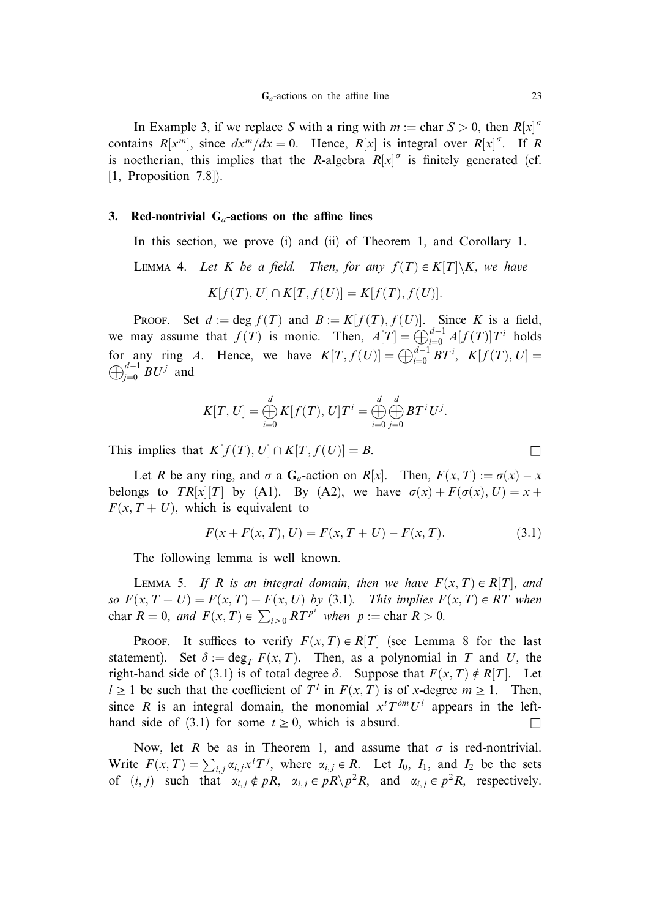In Example 3, if we replace S with a ring with  $m := \text{char } S > 0$ , then  $R[x]^\sigma$ contains  $R[x^m]$ , since  $dx^m/dx = 0$ . Hence,  $R[x]$  is integral over  $R[x]^\sigma$ . If R is noetherian, this implies that the R-algebra  $R[x]^\sigma$  is finitely generated (cf. [1, Proposition 7.8]).

### 3. Red-nontrivial  $G_a$ -actions on the affine lines

In this section, we prove (i) and (ii) of Theorem 1, and Corollary 1.

LEMMA 4. Let K be a field. Then, for any  $f(T) \in K[T]\backslash K$ , we have

$$
K[f(T), U] \cap K[T, f(U)] = K[f(T), f(U)].
$$

**PROOF.** Set  $d := \deg f(T)$  and  $B := K[f(T), f(U)]$ . Since K is a field, we may assume that  $f(T)$  is monic. Then,  $A[T] = \bigoplus_{i=0}^{d-1} A[f(T)]T^i$  holds for any ring A. Hence, we have  $K[T, f(U)] = \bigoplus_{i=0}^{d-1} BT^i$ ,  $K[f(T), U] =$  $\bigoplus_{j=0}^{d-1} BU^j$  and

$$
K[T, U] = \bigoplus_{i=0}^d K[f(T), U]T^i = \bigoplus_{i=0}^d \bigoplus_{j=0}^d BT^i U^j.
$$

This implies that  $K[f(T), U] \cap K[T, f(U)] = B.$ 

Let R be any ring, and  $\sigma$  a  $G_a$ -action on  $R[x]$ . Then,  $F(x, T) := \sigma(x) - x$ belongs to  $TR[x][T]$  by (A1). By (A2), we have  $\sigma(x) + F(\sigma(x), U) = x +$  $F(x, T + U)$ , which is equivalent to

$$
F(x + F(x, T), U) = F(x, T + U) - F(x, T). \tag{3.1}
$$

The following lemma is well known.

LEMMA 5. If R is an integral domain, then we have  $F(x, T) \in R[T]$ , and so  $F(x, T + U) = F(x, T) + F(x, U)$  by (3.1). This implies  $F(x, T) \in RT$  when char  $R = 0$ , and  $F(x, T) \in \sum_{i \geq 0} RT^{p^i}$  when  $p := \text{char } R > 0$ .

PROOF. It suffices to verify  $F(x, T) \in R[T]$  (see Lemma 8 for the last statement). Set  $\delta := \deg_T F(x, T)$ . Then, as a polynomial in T and U, the right-hand side of (3.1) is of total degree  $\delta$ . Suppose that  $F(x, T) \notin R[T]$ . Let  $l \geq 1$  be such that the coefficient of  $T^l$  in  $F(x, T)$  is of x-degree  $m \geq 1$ . Then, since R is an integral domain, the monomial  $x^T T^{\delta m} U^T$  appears in the lefthand side of (3.1) for some  $t \geq 0$ , which is absurd.

Now, let R be as in Theorem 1, and assume that  $\sigma$  is red-nontrivial. Write  $F(x,T) = \sum_{i,j} \alpha_{i,j} x^{i} T^{j}$ , where  $\alpha_{i,j} \in R$ . Let  $I_0$ ,  $I_1$ , and  $I_2$  be the sets of  $(i, j)$  such that  $\alpha_{i,j} \notin pR$ ,  $\alpha_{i,j} \in pR \backslash p^2R$ , and  $\alpha_{i,j} \in p^2R$ , respectively.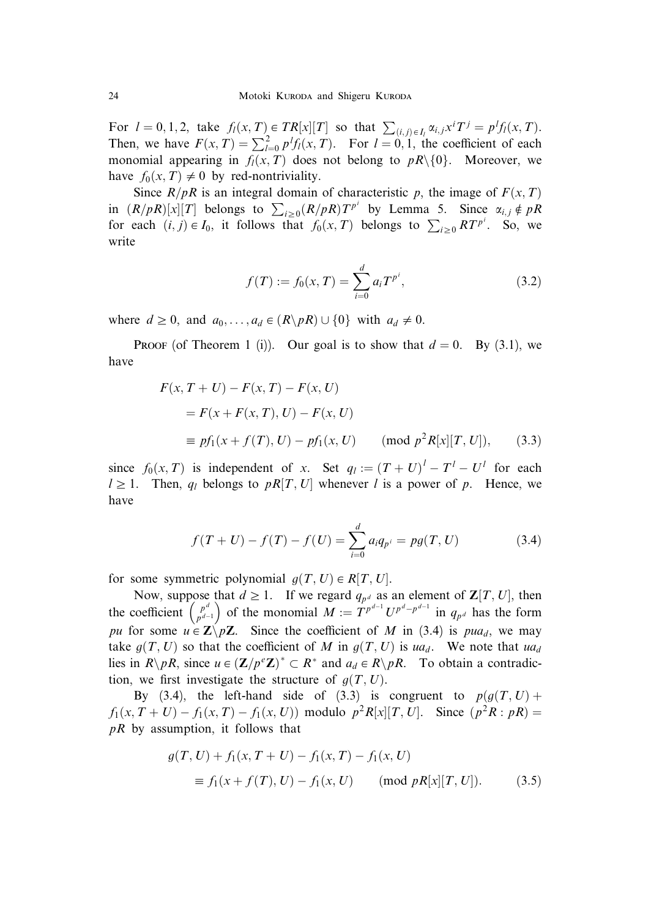For  $l = 0, 1, 2$ , take  $f_l(x, T) \in TR[x][T]$  so that  $\sum_{(i,j) \in I_l} \alpha_{i,j} x^i T^j = p^l f_l(x, T)$ .<br>Then, we have  $F(x, T) = \sum_{l=0}^2 p^l f_l(x, T)$ . For  $l = 0, 1$ , the coefficient of each monomial appearing in  $f_l(x,T)$  does not belong to  $pR\setminus\{0\}$ . Moreover, we have  $f_0(x,T) \neq 0$  by red-nontriviality.

Since  $R/pR$  is an integral domain of characteristic p, the image of  $F(x, T)$ in  $(R/pR)[x][T]$  belongs to  $\sum_{i\geq 0} (R/pR)T^{p^i}$  by Lemma 5. Since  $\alpha_{i,j} \notin pR$ for each  $(i, j) \in I_0$ , it follows that  $f_0(x, T)$  belongs to  $\sum_{i \geq 0} RT^{p^i}$ . So, we write

$$
f(T) := f_0(x, T) = \sum_{i=0}^{d} a_i T^{p^i},
$$
\n(3.2)

where  $d \ge 0$ , and  $a_0, \ldots, a_d \in (R \backslash pR) \cup \{0\}$  with  $a_d \ne 0$ .

**PROOF** (of Theorem 1 (i)). Our goal is to show that  $d = 0$ . By (3.1), we have

$$
F(x, T + U) - F(x, T) - F(x, U)
$$
  
=  $F(x + F(x, T), U) - F(x, U)$   

$$
= pf_1(x + f(T), U) - pf_1(x, U) \qquad (mod \ p^2 R[x][T, U]), \qquad (3.3)
$$

since  $f_0(x,T)$  is independent of x. Set  $q_l := (T+U)^l - T^l - U^l$  for each  $l \geq 1$ . Then,  $q_l$  belongs to pR[T, U] whenever l is a power of p. Hence, we have

$$
f(T+U) - f(T) - f(U) = \sum_{i=0}^{d} a_i q_{p^i} = pg(T, U)
$$
 (3.4)

for some symmetric polynomial  $g(T, U) \in R[T, U]$ .

Now, suppose that  $d \geq 1$ . If we regard  $q_{p^d}$  as an element of  $\mathbb{Z}[T, U]$ , then the coefficient  $\begin{pmatrix} p^d \\ p^{d-1} \end{pmatrix}$ bose that  $u \ge 1$ . If we regard  $q_{p^d}$  as an element of  $\mathbb{Z}[I, C]$ , then<br>  $\begin{pmatrix} p^{d} \\ p^{d-1} \end{pmatrix}$  of the monomial  $M := T^{p^{d-1}} U^{p^d - p^{d-1}}$  in  $q_{p^d}$  has the form pu for some  $u \in \mathbb{Z}_{p} \setminus p\mathbb{Z}$ . Since the coefficient of M in (3.4) is pua<sub>d</sub>, we may take  $g(T, U)$  so that the coefficient of M in  $g(T, U)$  is ua<sub>d</sub>. We note that ua<sub>d</sub> lies in  $R\backslash pR$ , since  $u \in (\mathbf{Z}/p^e\mathbf{Z})^* \subset R^*$  and  $a_d \in R\backslash pR$ . To obtain a contradiction, we first investigate the structure of  $q(T, U)$ .

By (3.4), the left-hand side of (3.3) is congruent to  $p(q(T, U) + p(T))$  $f_1(x, T + U) - f_1(x, T) - f_1(x, U)$  modulo  $p^2 R[x][T, U]$ . Since  $(p^2 R : pR)$  $pR$  by assumption, it follows that

$$
g(T, U) + f_1(x, T + U) - f_1(x, T) - f_1(x, U)
$$
  
\n
$$
\equiv f_1(x + f(T), U) - f_1(x, U) \quad (\text{mod } pR[x][T, U]). \quad (3.5)
$$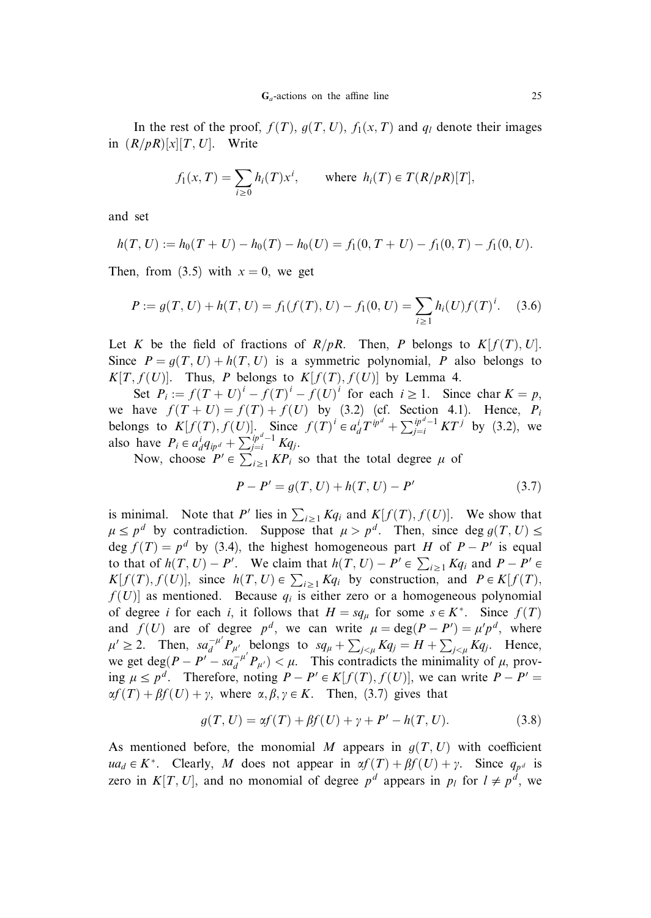In the rest of the proof,  $f(T)$ ,  $g(T, U)$ ,  $f_1(x, T)$  and  $q_1$  denote their images in  $(R/pR)[x][T, U]$ . Write

$$
f_1(x,T) = \sum_{i \ge 0} h_i(T)x^i, \quad \text{where } h_i(T) \in T(R/pR)[T],
$$

and set

$$
h(T, U) := h_0(T + U) - h_0(T) - h_0(U) = f_1(0, T + U) - f_1(0, T) - f_1(0, U).
$$

Then, from (3.5) with  $x = 0$ , we get

$$
P := g(T, U) + h(T, U) = f_1(f(T), U) - f_1(0, U) = \sum_{i \ge 1} h_i(U) f(T)^i.
$$
 (3.6)

Let K be the field of fractions of  $R/pR$ . Then, P belongs to  $K[f(T), U]$ . Since  $P = q(T, U) + h(T, U)$  is a symmetric polynomial, P also belongs to  $K[T, f(U)]$ . Thus, P belongs to  $K[f(T), f(U)]$  by Lemma 4.

Set  $P_i := f(T + U)^i - f(T)^i - f(U)^i$  for each  $i \ge 1$ . Since char  $K = p$ , we have  $f(T+U) = f(T) + f(U)$  by (3.2) (cf. Section 4.1). Hence,  $P_i$ belongs to  $K[f(T), f(U)]$ . Since  $f(T)^i \in a_d^i T^{ip^d} + \sum_{j=i}^{ip^d-1} KT^j$  by (3.2), we also have  $P_i \in a_d^i q_{ip^d} + \sum_{j=i}^{ip^d-1} Kq_j$ .

Now, choose  $P' \in \sum_{i \geq 1} KP_i$  so that the total degree  $\mu$  of

$$
P - P' = g(T, U) + h(T, U) - P'
$$
\n(3.7)

is minimal. Note that P' lies in  $\sum_{i\geq 1} Kq_i$  and  $K[f(T), f(U)]$ . We show that  $\mu \leq p^d$  by contradiction. Suppose that  $\mu > p^d$ . Then, since deg  $g(T, U) \leq$ deg  $f(T) = p<sup>d</sup>$  by (3.4), the highest homogeneous part H of  $P - P'$  is equal to that of  $h(T, U) - P'$ . We claim that  $h(T, U) - P' \in \sum_{i \ge 1} Kq_i$  and  $P - P' \in$  $K[f(T), f(U)]$ , since  $h(T, U) \in \sum_{i \geq 1} Kq_i$  by construction, and  $P \in K[f(T)]$ ,  $f(U)$  as mentioned. Because  $q_i$  is either zero or a homogeneous polynomial of degree *i* for each *i*, it follows that  $H = sq_\mu$  for some  $s \in K^*$ . Since  $f(T)$ and  $f(U)$  are of degree  $p^d$ , we can write  $\mu = \deg(P - P') = \mu' p^d$ , where  $\mu' \ge 2$ . Then,  $sa_d^{-\mu'}P_{\mu'}$  belongs to  $sq_{\mu} + \sum_{j < \mu} Kq_j = H + \sum_{j < \mu} Kq_j$ . Hence, we get deg( $P - P' - sa_d^{-\mu'} P_{\mu'}$ )  $\lt \mu$ . This contradicts the minimality of  $\mu$ , proving  $\mu \leq p^d$ . Therefore, noting  $P - P' \in K[f(T), f(U)]$ , we can write  $P - P' =$  $\alpha f(T) + \beta f(U) + \gamma$ , where  $\alpha, \beta, \gamma \in K$ . Then, (3.7) gives that

$$
g(T, U) = \alpha f(T) + \beta f(U) + \gamma + P' - h(T, U). \tag{3.8}
$$

As mentioned before, the monomial M appears in  $g(T, U)$  with coefficient  $ua_d \in K^*$ . Clearly, M does not appear in  $\alpha f(T) + \beta f(U) + \gamma$ . Since  $q_{p^d}$  is zero in K[T, U], and no monomial of degree  $p^d$  appears in  $p_l$  for  $l \neq p^d$ , we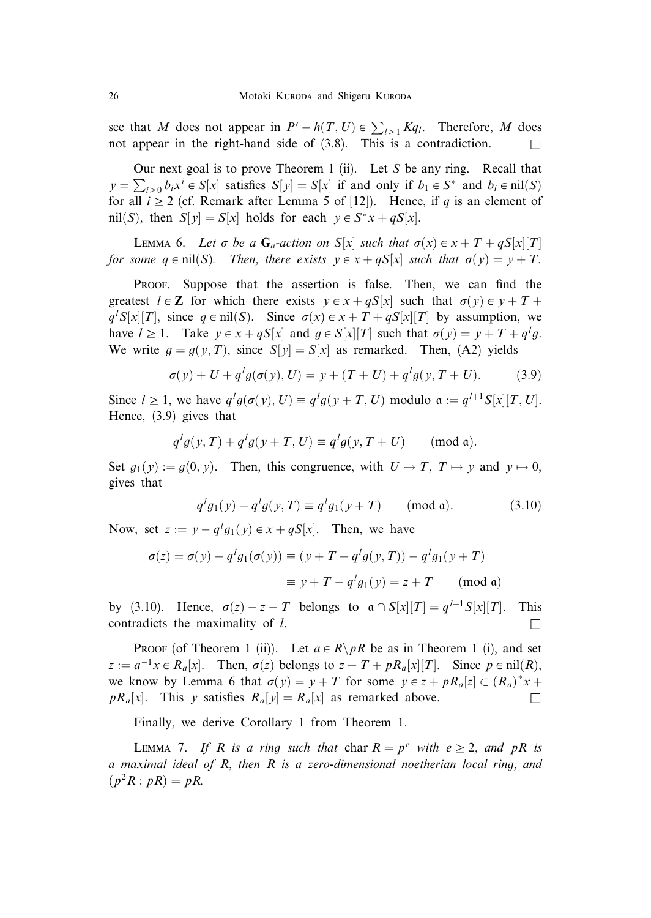see that M does not appear in  $P' - h(T, U) \in \sum_{l \geq 1} K q_l$ . Therefore, M does not appear in the right-hand side of  $(3.8)$ . This is a contradiction.

Our next goal is to prove Theorem 1 (ii). Let S be any ring. Recall that  $y = \sum_{i\geq 0} b_i x^i \in S[x]$  satisfies  $S[y] = S[x]$  if and only if  $b_1 \in S^*$  and  $b_i \in \text{nil}(S)$ for all  $i \ge 2$  (cf. Remark after Lemma 5 of [12]). Hence, if q is an element of nil $(S)$ , then  $S[y] = S[x]$  holds for each  $y \in S^*x + qS[x]$ .

LEMMA 6. Let  $\sigma$  be a  $G_a$ -action on  $S[x]$  such that  $\sigma(x) \in x + T + qS[x][T]$ for some  $q \in \text{nil}(S)$ . Then, there exists  $y \in x + qS[x]$  such that  $\sigma(y) = y + T$ .

Proof. Suppose that the assertion is false. Then, we can find the greatest  $l \in \mathbb{Z}$  for which there exists  $y \in x + qS[x]$  such that  $\sigma(y) \in y + T +$  $q^{l}S[x][T]$ , since  $q \in \text{nil}(S)$ . Since  $\sigma(x) \in x + T + qS[x][T]$  by assumption, we have  $l \ge 1$ . Take  $y \in x + qS[x]$  and  $g \in S[x][T]$  such that  $\sigma(y) = y + T + q^l g$ . We write  $g = g(y, T)$ , since  $S[y] = S[x]$  as remarked. Then, (A2) yields

$$
\sigma(y) + U + q^l g(\sigma(y), U) = y + (T + U) + q^l g(y, T + U). \tag{3.9}
$$

Since  $l \geq 1$ , we have  $q^l g(\sigma(y), U) \equiv q^l g(y + T, U)$  modulo  $\mathfrak{a} := q^{l+1} S[x][T, U]$ . Hence, (3.9) gives that

$$
q^{l}g(y,T) + q^{l}g(y+T,U) \equiv q^{l}g(y,T+U) \quad (\text{mod } \mathfrak{a}).
$$

Set  $g_1(y) := g(0, y)$ . Then, this congruence, with  $U \mapsto T$ ,  $T \mapsto y$  and  $y \mapsto 0$ , gives that

$$
q^{l}g_{1}(y) + q^{l}g(y, T) \equiv q^{l}g_{1}(y + T) \quad (\text{mod } \mathfrak{a}). \tag{3.10}
$$

Now, set  $z := y - q^l g_1(y) \in x + qS[x]$ . Then, we have

$$
\sigma(z) = \sigma(y) - q^l g_1(\sigma(y)) \equiv (y + T + q^l g(y, T)) - q^l g_1(y + T)
$$

$$
\equiv y + T - q^l g_1(y) = z + T \pmod{\mathfrak{a}}
$$

by (3.10). Hence,  $\sigma(z) - z - T$  belongs to  $\alpha \cap S[x][T] = q^{l+1}S[x][T]$ . This contradicts the maximality of *l*.

**PROOF** (of Theorem 1 (ii)). Let  $a \in R \backslash pR$  be as in Theorem 1 (i), and set  $z := a^{-1}x \in R_a[x]$ . Then,  $\sigma(z)$  belongs to  $z + T + pR_a[x][T]$ . Since  $p \in \text{nil}(R)$ , we know by Lemma 6 that  $\sigma(y) = y + T$  for some  $y \in z + pR_a[z] \subset (R_a)^*x +$  $pR_a[x]$ . This y satisfies  $R_a[y] = R_a[x]$  as remarked above.

Finally, we derive Corollary 1 from Theorem 1.

LEMMA 7. If R is a ring such that char  $R = p^e$  with  $e \geq 2$ , and pR is a maximal ideal of R, then R is a zero-dimensional noetherian local ring, and  $(p^2R : pR) = pR$ .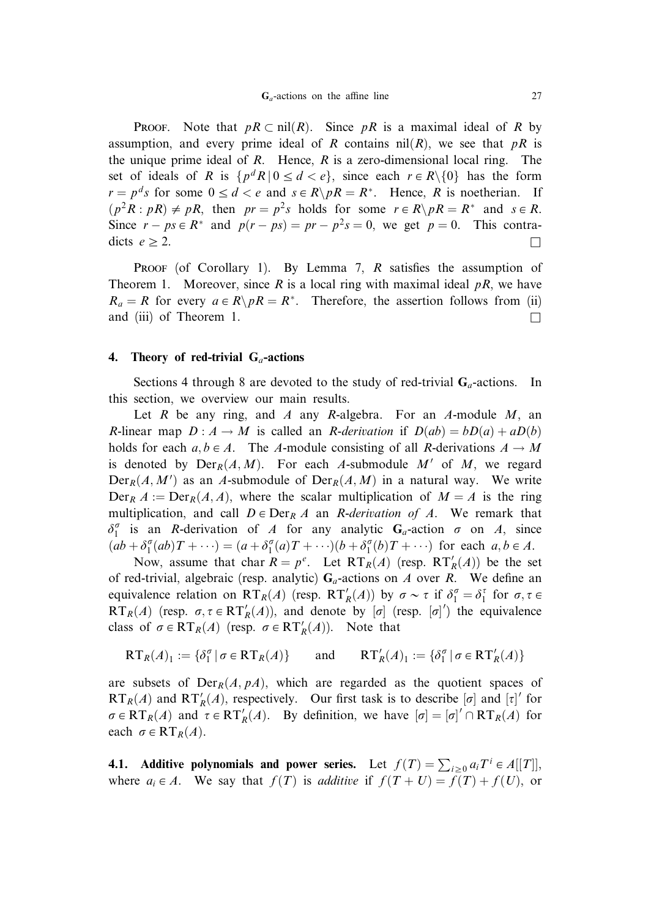**PROOF.** Note that  $pR \subset \text{nil}(R)$ . Since pR is a maximal ideal of R by assumption, and every prime ideal of R contains  $nil(R)$ , we see that pR is the unique prime ideal of  $R$ . Hence,  $R$  is a zero-dimensional local ring. The set of ideals of R is  $\{p^d R \mid 0 \le d < e\}$ , since each  $r \in R \setminus \{0\}$  has the form  $r = p^d s$  for some  $0 \le d < e$  and  $s \in R \backslash pR = R^*$ . Hence, R is noetherian. If  $(p^2R : pR) \neq pR$ , then  $pr = p^2s$  holds for some  $r \in R \backslash pR = R^*$  and  $s \in R$ . Since  $r - ps \in R^*$  and  $p(r - ps) = pr - p^2s = 0$ , we get  $p = 0$ . This contradicts  $e \geq 2$ .

PROOF (of Corollary 1). By Lemma 7,  $R$  satisfies the assumption of Theorem 1. Moreover, since R is a local ring with maximal ideal  $pR$ , we have  $R_a = R$  for every  $a \in R \backslash pR = R^*$ . Therefore, the assertion follows from (ii) and (iii) of Theorem 1.

#### 4. Theory of red-trivial  $G_a$ -actions

Sections 4 through 8 are devoted to the study of red-trivial  $G_a$ -actions. In this section, we overview our main results.

Let R be any ring, and A any R-algebra. For an A-module  $M$ , an R-linear map  $D: A \to M$  is called an R-derivation if  $D(ab) = bD(a) + aD(b)$ holds for each  $a, b \in A$ . The A-module consisting of all R-derivations  $A \to M$ is denoted by  $Der_R(A, M)$ . For each A-submodule M' of M, we regard  $Der_R(A, M')$  as an A-submodule of  $Der_R(A, M)$  in a natural way. We write  $Der_R A := Der_R(A, A)$ , where the scalar multiplication of  $M = A$  is the ring multiplication, and call  $D \in \text{Der}_R A$  an *R-derivation of A*. We remark that  $\delta_1^{\sigma}$  is an *R*-derivation of *A* for any analytic **G**<sub>a</sub>-action  $\sigma$  on *A*, since  $(ab + \delta_1^{\sigma}(ab)T + \cdots) = (a + \delta_1^{\sigma}(a)T + \cdots)(b + \delta_1^{\sigma}(b)T + \cdots)$  for each  $a, b \in A$ .

Now, assume that char  $R = p^e$ . Let  $RT_R(A)$  (resp.  $RT'_R(A)$ ) be the set of red-trivial, algebraic (resp. analytic)  $G_a$ -actions on A over R. We define an equivalence relation on  $RT_R(A)$  (resp.  $RT'_R(A)$ ) by  $\sigma \sim \tau$  if  $\delta_1^{\sigma} = \delta_1^{\tau}$  for  $\sigma, \tau \in$  $RT_R(A)$  (resp.  $\sigma, \tau \in RT'_R(A)$ ), and denote by  $[\sigma]$  (resp.  $[\sigma]'$ ) the equivalence class of  $\sigma \in RT_R(A)$  (resp.  $\sigma \in RT'_R(A)$ ). Note that

$$
\mathsf{RT}_R(A)_1 := \{ \delta_1^\sigma \mid \sigma \in \mathsf{RT}_R(A) \} \quad \text{and} \quad \mathsf{RT}'_R(A)_1 := \{ \delta_1^\sigma \mid \sigma \in \mathsf{RT}'_R(A) \}
$$

are subsets of  $Der_R(A, pA)$ , which are regarded as the quotient spaces of  $RT_R(A)$  and  $RT'_R(A)$ , respectively. Our first task is to describe  $[\sigma]$  and  $[\tau]'$  for  $\sigma \in RT_R(A)$  and  $\tau \in RT_R'(A)$ . By definition, we have  $[\sigma] = [\sigma]' \cap RT_R(A)$  for each  $\sigma \in RT_R(A)$ .

**4.1.** Additive polynomials and power series. Let  $f(T) = \sum_{i \geq 0} a_i T^i \in A[[T]],$ where  $a_i \in A$ . We say that  $f(T)$  is *additive* if  $f(T+U) = f(T) + f(U)$ , or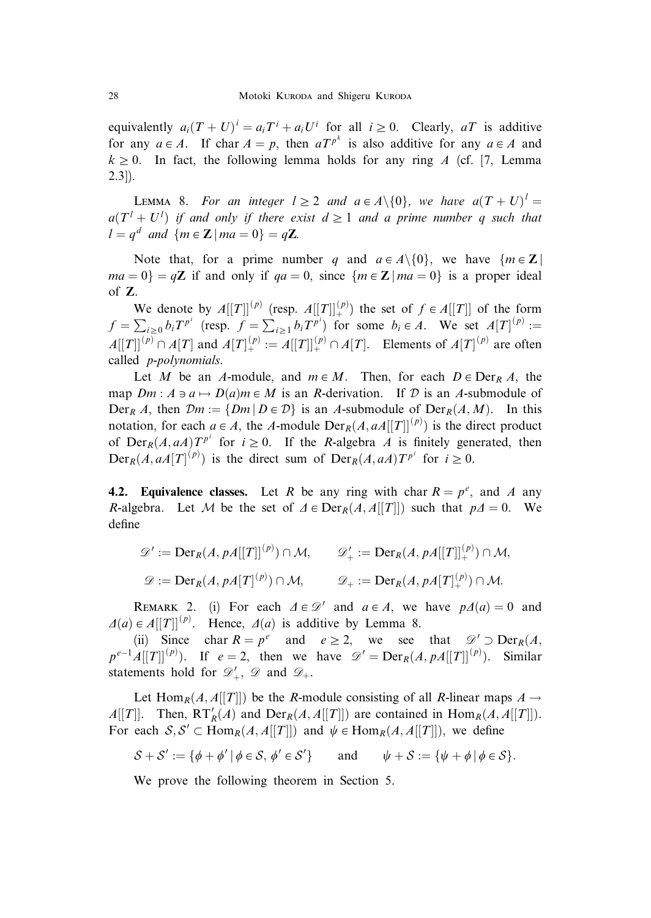equivalently  $a_i(T+U)^i = a_iT^i + a_iU^i$  for all  $i \ge 0$ . Clearly, aT is additive for any  $a \in A$ . If char  $A = p$ , then  $aT^{p^k}$  is also additive for any  $a \in A$  and  $k \geq 0$ . In fact, the following lemma holds for any ring A (cf. [7, Lemma 2.3]).

**LEMMA** 8. For an integer  $l \geq 2$  and  $a \in A \setminus \{0\}$ , we have  $a(T + U)^{l} =$  $a(T^{l} + U^{l})$  if and only if there exist  $d \geq 1$  and a prime number q such that  $l = q^d$  and  $\{m \in \mathbb{Z} \mid ma = 0\} = q\mathbb{Z}$ .

Note that, for a prime number q and  $a \in A \setminus \{0\}$ , we have  $\{m \in \mathbb{Z} \mid \mathbb{Z}\}$  $ma = 0$  = qZ if and only if  $qa = 0$ , since  ${m \in \mathbb{Z} \mid ma = 0}$  is a proper ideal of Z.

We denote by  $A[[T]]^{(p)}$  (resp.  $A[[T]]^{(p)}$ ) the set of  $f \in A[[T]]$  of the form  $f = \sum_{i\geq 0} b_i T^{p^i}$  (resp.  $f = \sum_{i\geq 1} b_i T^{p^i}$ ) for some  $b_i \in A$ . We set  $A[T]^{(p)}$  :=  $A[[T]]^{(p)} \cap A[T]$  and  $A[T]^{(p)}_+ := A[[T]]^{(p)}_+ \cap A[T]$ . Elements of  $A[T]^{(p)}$  are often called p-polynomials.

Let M be an A-module, and  $m \in M$ . Then, for each  $D \in \text{Der}_R A$ , the map  $Dm : A \ni a \mapsto D(a)m \in M$  is an R-derivation. If D is an A-submodule of  $Der_R A$ , then  $\mathcal{D}m := \{Dm | D \in \mathcal{D}\}\$ is an A-submodule of  $Der_R(A, M)$ . In this notation, for each  $a \in A$ , the A-module  $Der_R(A, aA[[T]]^{(p)})$  is the direct product of  $Der_R(A, aA)T^{p^i}$  for  $i \ge 0$ . If the R-algebra A is finitely generated, then  $Der_R(A, aA[T]^{(p)})$  is the direct sum of  $Der_R(A, aA)T^{p^i}$  for  $i \ge 0$ .

**4.2. Equivalence classes.** Let R be any ring with char  $R = p^e$ , and A any R-algebra. Let M be the set of  $\Delta \in \text{Der}_R(A, A[[T]])$  such that  $p\Delta = 0$ . We define

$$
\mathscr{D}' := \text{Der}_R(A, pA[[T]]^{(p)}) \cap \mathcal{M}, \qquad \mathscr{D}'_+ := \text{Der}_R(A, pA[[T]]^{(p)}_+) \cap \mathcal{M},
$$
  

$$
\mathscr{D} := \text{Der}_R(A, pA[T]^{(p)}) \cap \mathcal{M}, \qquad \mathscr{D}_+ := \text{Der}_R(A, pA[T]^{(p)}_+) \cap \mathcal{M}.
$$

REMARK 2. (i) For each  $\Delta \in \mathcal{D}'$  and  $a \in A$ , we have  $p\Delta(a) = 0$  and  $\Delta(a) \in A[[T]]^{(p)}$ . Hence,  $\Delta(a)$  is additive by Lemma 8.

(ii) Since char  $R = p^e$  and  $e \ge 2$ , we see that  $\mathcal{D}' \supset \text{Der}_R(A)$ ;  $p^{e-1}A[[T]]^{(p)}$ ). If  $e=2$ , then we have  $\mathscr{D}' = \text{Der}_R(A, pA[[T]]^{(p)})$ . Similar statements hold for  $\mathscr{D}'_+$ ,  $\mathscr{D}$  and  $\mathscr{D}_+$ .

Let Hom<sub>R</sub> $(A, A[[T]])$  be the R-module consisting of all R-linear maps  $A \rightarrow$  $A[[T]]$ . Then,  $RT'_{R}(A)$  and  $Der_{R}(A, A[[T]])$  are contained in  $Hom_{R}(A, A[[T]])$ . For each  $S, S' \subset \text{Hom}_R(A, A[[T]])$  and  $\psi \in \text{Hom}_R(A, A[[T]])$ , we define

$$
\mathcal{S} + \mathcal{S}' := \{ \phi + \phi' \mid \phi \in \mathcal{S}, \, \phi' \in \mathcal{S}' \} \qquad \text{and} \qquad \psi + \mathcal{S} := \{ \psi + \phi \mid \phi \in \mathcal{S} \}.
$$

We prove the following theorem in Section 5.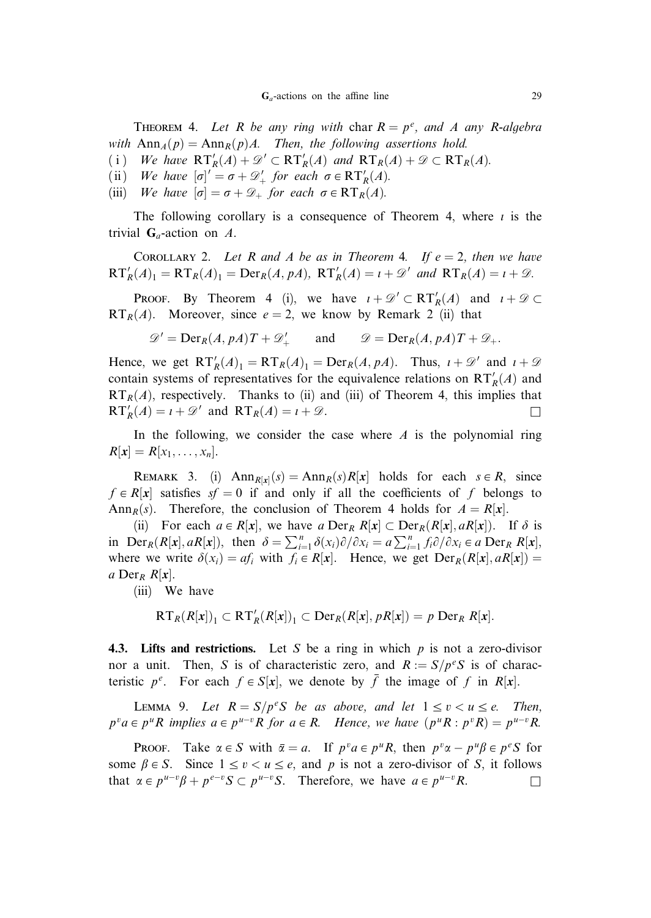THEOREM 4. Let R be any ring with char  $R = p^e$ , and A any R-algebra with  $\text{Ann}_A(p) = \text{Ann}_R(p)A$ . Then, the following assertions hold.

- (i) We have  $RT'_{R}(A) + \mathcal{D}' \subset RT'_{R}(A)$  and  $RT_{R}(A) + \mathcal{D} \subset RT_{R}(A)$ .
- (ii) We have  $[\sigma]' = \sigma + \mathcal{D}'_+$  for each  $\sigma \in RT'_R(A)$ .
- (iii) We have  $|\sigma| = \sigma + \mathcal{D}_+$  for each  $\sigma \in RT_R(A)$ .

The following corollary is a consequence of Theorem 4, where  $i$  is the trivial  $\mathbf{G}_a$ -action on A.

COROLLARY 2. Let R and A be as in Theorem 4. If  $e = 2$ , then we have  $RT'_{R}(A)_{1} = RT_{R}(A)_{1} = Der_{R}(A, pA), RT'_{R}(A) = i + \mathcal{D}'$  and  $RT_{R}(A) = i + \mathcal{D}$ .

**Proof.** By Theorem 4 (i), we have  $i + \mathcal{D}' \subset RT'_R(A)$  and  $i + \mathcal{D} \subset$  $RT_R(A)$ . Moreover, since  $e = 2$ , we know by Remark 2 (ii) that

$$
\mathscr{D}' = \mathrm{Der}_R(A, pA)T + \mathscr{D}'_+ \quad \text{and} \quad \mathscr{D} = \mathrm{Der}_R(A, pA)T + \mathscr{D}_+.
$$

Hence, we get  $RT'_{R}(A)_{1} = RT_{R}(A)_{1} = Der_{R}(A, pA)$ . Thus,  $i + \mathcal{D}'$  and  $i + \mathcal{D}$ contain systems of representatives for the equivalence relations on  $RT'_{R}(A)$  and  $RT<sub>R</sub>(A)$ , respectively. Thanks to (ii) and (iii) of Theorem 4, this implies that  $\mathbf{RT}'_R(A) = i + \mathcal{D}'$  and  $\mathbf{RT}_R(A) = i + \mathcal{D}$ .

In the following, we consider the case where  $A$  is the polynomial ring  $R[x] = R[x_1, \ldots, x_n].$ 

REMARK 3. (i)  $Ann_{R[x]}(s) = Ann_R(s)R[x]$  holds for each  $s \in R$ , since  $f \in R[x]$  satisfies  $sf = 0$  if and only if all the coefficients of f belongs to Ann<sub>R</sub>(s). Therefore, the conclusion of Theorem 4 holds for  $A = R[x]$ .

(ii) For each  $a \in R[x]$ , we have a  $\text{Der}_R R[x] \subset \text{Der}_R(R[x], aR[x])$ . If  $\delta$  is in Der $_R(R[x], aR[x])$ , then  $\delta = \sum_{i=1}^n \delta(x_i)\partial/\partial x_i = a \sum_{i=1}^n f_i\partial/\partial x_i \in a$  Der $_R R[x]$ , where we write  $\delta(x_i) = af_i$  with  $f_i \in R[x]$ . Hence, we get  $Der_R(R[x], aR[x])$ a Der<sub>R</sub>  $R[x]$ .

(iii) We have

$$
RT_R(R[x])_1 \subset RT'_R(R[x])_1 \subset \text{Der}_R(R[x], pR[x]) = p \text{ Der}_R R[x].
$$

4.3. Lifts and restrictions. Let S be a ring in which  $p$  is not a zero-divisor nor a unit. Then, S is of characteristic zero, and  $R := S/p<sup>e</sup>S$  is of characteristic  $p^e$ . For each  $f \in S[x]$ , we denote by  $\bar{f}$  the image of f in R[x].

LEMMA 9. Let  $R = S/p^eS$  be as above, and let  $1 \le v \le u \le e$ . Then,  $p^{\nu}a \in p^{\mu}R$  implies  $a \in p^{\mu-\nu}R$  for  $a \in R$ . Hence, we have  $(p^{\mu}R : p^{\nu}R) = p^{\mu-\nu}R$ .

**PROOF.** Take  $\alpha \in S$  with  $\overline{\alpha} = a$ . If  $p^v a \in p^u R$ , then  $p^v \alpha - p^u \beta \in p^e S$  for some  $\beta \in S$ . Since  $1 \le v \le u \le e$ , and p is not a zero-divisor of S, it follows that  $\alpha \in p^{u-v}\beta + p^{e-v}S \subset p^{u-v}S$ . Therefore, we have  $a \in p^{u-v}R$ .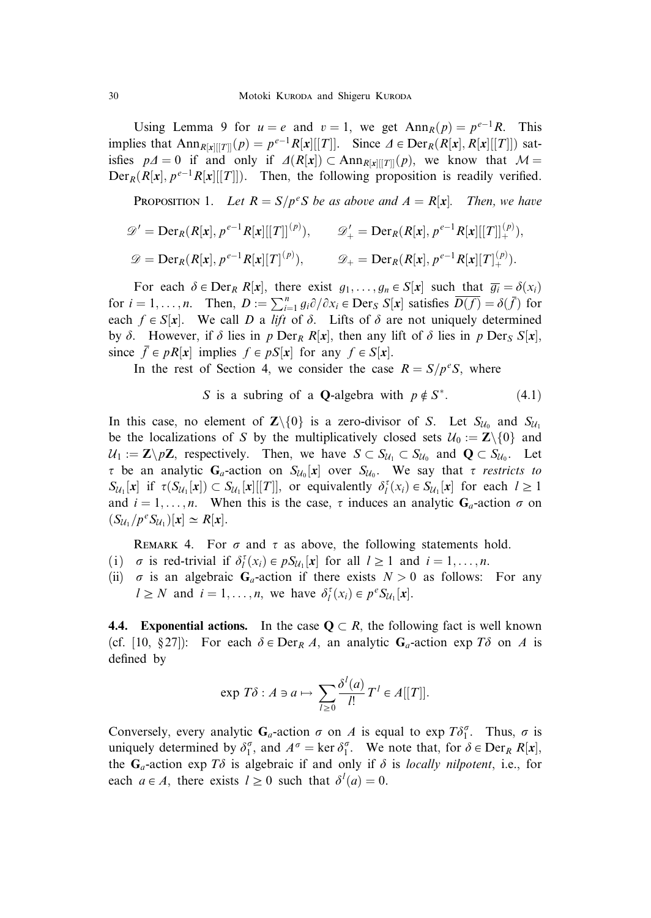Using Lemma 9 for  $u = e$  and  $v = 1$ , we get  $Ann_R(p) = p^{e-1}R$ . This implies that  $\text{Ann}_{R[x][T]}(p) = p^{e-1}R[x][T]]$ . Since  $\Delta \in \text{Der}_R(R[x], R[x][T]])$  satisfies  $p\Delta = 0$  if and only if  $\Delta(R[x]) \subset \text{Ann}_{R[x][T][p]}(p)$ , we know that  $\mathcal{M} =$  $Der_R(R[x], p^{e-1}R[x][T]]$ . Then, the following proposition is readily verified.

**PROPOSITION 1.** Let  $R = S/p^eS$  be as above and  $A = R[x]$ . Then, we have

$$
\mathscr{D}' = \text{Der}_{R}(R[x], p^{e-1}R[x][[T]]^{(p)}), \qquad \mathscr{D}'_{+} = \text{Der}_{R}(R[x], p^{e-1}R[x][[T]]^{(p)}_{+}),
$$
  

$$
\mathscr{D} = \text{Der}_{R}(R[x], p^{e-1}R[x][T]^{(p)}), \qquad \mathscr{D}_{+} = \text{Der}_{R}(R[x], p^{e-1}R[x][T]^{(p)}_{+}).
$$

For each  $\delta \in \text{Der}_R R[x]$ , there exist  $g_1, \ldots, g_n \in S[x]$  such that  $\overline{g_i} = \delta(x_i)$ for  $i = 1, ..., n$ . Then,  $D := \sum_{i=1}^{n} g_i \partial/\partial x_i \in \text{Der}_S S[x]$  satisfies  $\overline{D(f)} = \delta(\overline{f})$  for each  $f \in S[x]$ . We call D a lift of  $\delta$ . Lifts of  $\delta$  are not uniquely determined by  $\delta$ . However, if  $\delta$  lies in p Der<sub>R</sub> R[x], then any lift of  $\delta$  lies in p Der<sub>S</sub> S[x], since  $\overline{f} \in pR[x]$  implies  $f \in pS[x]$  for any  $f \in S[x]$ .

In the rest of Section 4, we consider the case  $R = S/p^eS$ , where

S is a subring of a **Q**-algebra with 
$$
p \notin S^*
$$
. (4.1)

In this case, no element of  $\mathbb{Z}\setminus\{0\}$  is a zero-divisor of S. Let  $S_{\mathcal{U}_0}$  and  $S_{\mathcal{U}_1}$ be the localizations of S by the multiplicatively closed sets  $U_0 := \mathbb{Z}\setminus\{0\}$  and  $U_1 := \mathbf{Z} \setminus p\mathbf{Z}$ , respectively. Then, we have  $S \subset S_{U_1} \subset S_{U_0}$  and  $\mathbf{Q} \subset S_{U_0}$ . Let  $\tau$  be an analytic  $G_a$ -action on  $S_{\mathcal{U}_0}[x]$  over  $S_{\mathcal{U}_0}$ . We say that  $\tau$  restricts to  $S_{\mathcal{U}_1}[\mathbf{x}]$  if  $\tau(S_{\mathcal{U}_1}[\mathbf{x}]) \subset S_{\mathcal{U}_1}[\mathbf{x}][[T]]$ , or equivalently  $\delta_l^{\tau}(x_i) \in S_{\mathcal{U}_1}[\mathbf{x}]$  for each  $l \geq 1$ and  $i = 1, \ldots, n$ . When this is the case,  $\tau$  induces an analytic  $G_a$ -action  $\sigma$  on  $(S_{\mathcal{U}_1}/p^e S_{\mathcal{U}_1})[x] \simeq R[x].$ 

REMARK 4. For  $\sigma$  and  $\tau$  as above, the following statements hold.

- (i)  $\sigma$  is red-trivial if  $\delta_l^{\tau}(x_i) \in pS_{\mathcal{U}_1}[x]$  for all  $l \ge 1$  and  $i = 1, ..., n$ .
- (ii)  $\sigma$  is an algebraic  $G_a$ -action if there exists  $N > 0$  as follows: For any  $l \geq N$  and  $i = 1, ..., n$ , we have  $\delta_l^{\tau}(x_i) \in p^e S_{\mathcal{U}_1}[x]$ .

**4.4.** Exponential actions. In the case  $Q \subset R$ , the following fact is well known (cf. [10, §27]): For each  $\delta \in \text{Der}_R A$ , an analytic  $G_a$ -action exp  $T\delta$  on A is defined by

$$
\exp T\delta : A \ni a \mapsto \sum_{l \geq 0} \frac{\delta^l(a)}{l!} T^l \in A[[T]].
$$

Conversely, every analytic  $G_a$ -action  $\sigma$  on A is equal to exp  $T\delta_1^{\sigma}$ . Thus,  $\sigma$  is uniquely determined by  $\delta_1^{\sigma}$ , and  $A^{\sigma} = \ker \delta_1^{\sigma}$ . We note that, for  $\delta \in \text{Der}_R R[x]$ , the  $G_a$ -action exp T $\delta$  is algebraic if and only if  $\delta$  is locally nilpotent, i.e., for each  $a \in A$ , there exists  $l \geq 0$  such that  $\delta^l(a) = 0$ .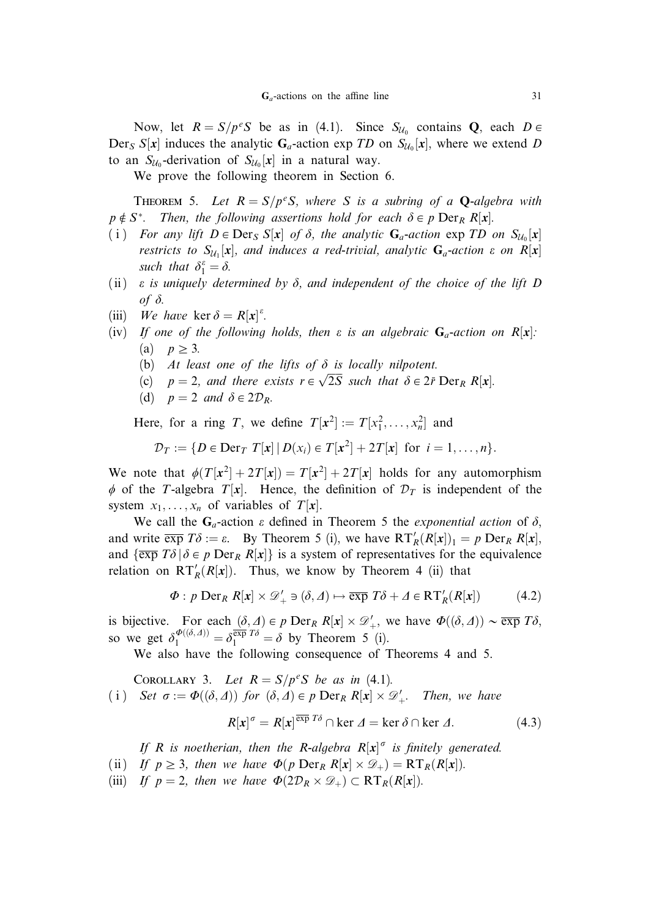Now, let  $R = S/p^eS$  be as in (4.1). Since  $S_{U_0}$  contains **Q**, each  $D \in$ Der<sub>S</sub> S[x] induces the analytic G<sub>a</sub>-action exp TD on S<sub>U<sub>0</sub>[x], where we extend D</sub> to an  $S_{\mathcal{U}_0}$ -derivation of  $S_{\mathcal{U}_0}[x]$  in a natural way.

We prove the following theorem in Section 6.

**THEOREM** 5. Let  $R = S/p^eS$ , where S is a subring of a **Q**-algebra with  $p \notin S^*$ . Then, the following assertions hold for each  $\delta \in p \operatorname{Der}_R R[x]$ .

- (i) For any lift  $D \in \text{Der}_S S[x]$  of  $\delta$ , the analytic  $G_a$ -action  $\exp TD$  on  $S_{\mathcal{U}_0}[x]$ restricts to  $S_{\mathcal{U}_1}[x]$ , and induces a red-trivial, analytic  $G_a$ -action  $\varepsilon$  on  $R[x]$ such that  $\delta_1^{\varepsilon} = \delta$ .
- (ii)  $\varepsilon$  is uniquely determined by  $\delta$ , and independent of the choice of the lift D of  $\delta$ .
- (iii) We have ker  $\delta = R[x]^{k}$ .
- (iv) If one of the following holds, then  $\varepsilon$  is an algebraic  $G_a$ -action on  $R[x]$ : (a)  $p \geq 3$ .
	- (b) At least one of the lifts of  $\delta$  is locally nilpotent.
	- (c) At least one of the tifts of  $\sigma$  is locally happent.<br>
	(c)  $p = 2$ , and there exists  $r \in \sqrt{2S}$  such that  $\delta \in 2\bar{r}$  Der<sub>R</sub> R[x].
	- (d)  $p = 2$  and  $\delta \in 2\mathcal{D}_R$ .

Here, for a ring T, we define  $T[x^2] := T[x_1^2, \ldots, x_n^2]$  and

$$
\mathcal{D}_T := \{ D \in \text{Der}_T T[x] \mid D(x_i) \in T[x^2] + 2T[x] \text{ for } i = 1, ..., n \}.
$$

We note that  $\phi(T[\mathbf{x}^2] + 2T[\mathbf{x}]) = T[\mathbf{x}^2] + 2T[\mathbf{x}]$  holds for any automorphism  $\phi$  of the T-algebra T[x]. Hence, the definition of  $\mathcal{D}_T$  is independent of the system  $x_1, \ldots, x_n$  of variables of  $T[x]$ .

We call the  $G_a$ -action  $\varepsilon$  defined in Theorem 5 the *exponential action* of  $\delta$ , and write  $\overline{\exp} T\delta := \varepsilon$ . By Theorem 5 (i), we have  $RT'_{R}(R[x])_1 = p \operatorname{Der}_R R[x]$ , and  $\{\overline{\exp T\delta} \mid \delta \in p \operatorname{Der}_R R[x]\}$  is a system of representatives for the equivalence relation on  $RT'_{R}(R[x])$ . Thus, we know by Theorem 4 (ii) that

$$
\Phi: p \text{ Der}_R R[x] \times \mathcal{D}'_+ \ni (\delta, \Delta) \mapsto \overline{\exp} T\delta + \Delta \in \mathrm{RT}'_R(R[x]) \tag{4.2}
$$

is bijective. For each  $(\delta, \Delta) \in p \text{ Der}_R R[x] \times \mathcal{D}'_+,$  we have  $\Phi((\delta, \Delta)) \sim \overline{\exp} T\delta$ , so we get  $\delta_1^{\Phi((\delta, \Delta))} = \delta_1^{\overline{\exp} T\delta} = \delta$  by Theorem 5 (i).

We also have the following consequence of Theorems 4 and 5.

COROLLARY 3. Let  $R = S/p^eS$  be as in (4.1). (i) Set  $\sigma := \Phi((\delta, \Delta))$  for  $(\delta, \Delta) \in p \operatorname{Der}_R R[x] \times \mathcal{D}'_+$ . Then, we have

$$
R[x]^{\sigma} = R[x]^{\overline{\exp} T\delta} \cap \ker \Delta = \ker \delta \cap \ker \Delta. \tag{4.3}
$$

If R is noetherian, then the R-algebra  $R[x]$ <sup> $\sigma$ </sup> is finitely generated.

- (ii) If  $p \geq 3$ , then we have  $\Phi(p \operatorname{Der}_R R[x] \times \mathcal{D}_+) = RT_R(R[x])$ .
- (iii) If  $p = 2$ , then we have  $\Phi(2\mathcal{D}_R \times \mathcal{D}_+) \subset RT_R(R[x])$ .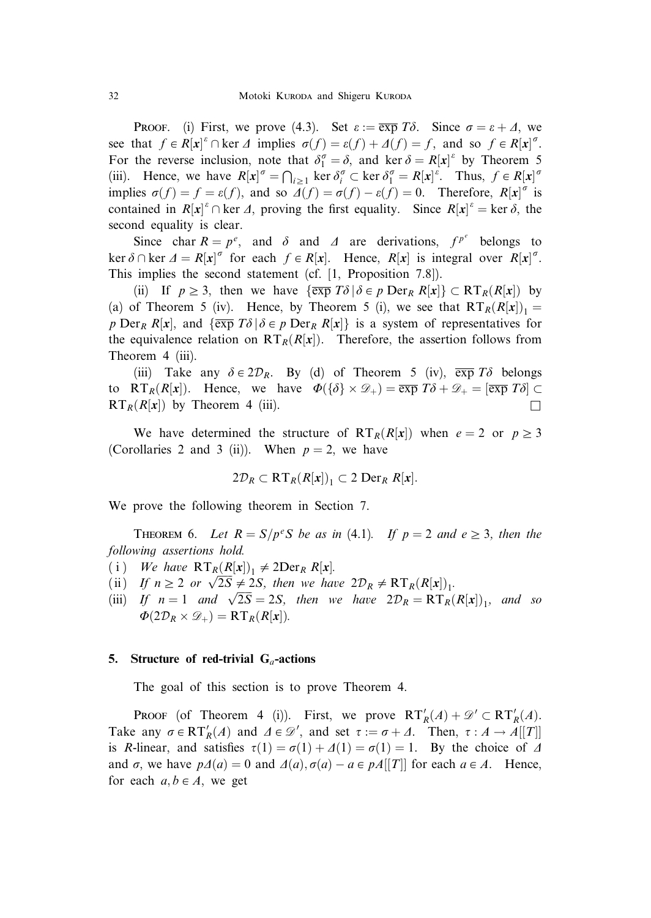**PROOF.** (i) First, we prove (4.3). Set  $\varepsilon := \overline{\exp T\delta}$ . Since  $\sigma = \varepsilon + \Delta$ , we see that  $f \in R[x]^{\varepsilon} \cap \text{ker } \Delta$  implies  $\sigma(f) = \varepsilon(f) + \Delta(f) = f$ , and so  $f \in R[x]^{\sigma}$ . For the reverse inclusion, note that  $\delta_1^{\sigma} = \delta$ , and ker  $\delta = R[x]^{e}$  by Theorem 5 (iii). Hence, we have  $R[x]^\sigma = \bigcap_{i \geq 1} \ker \delta_i^\sigma \subset \ker \delta_1^\sigma = R[x]^\varepsilon$ . Thus,  $f \in R[x]^\sigma$ implies  $\sigma(f) = f = \varepsilon(f)$ , and so  $\overline{A}(f) = \sigma(f) - \varepsilon(f) = 0$ . Therefore,  $R[x]^\sigma$  is contained in  $R[x]^{\epsilon} \cap \text{ker } \Delta$ , proving the first equality. Since  $R[x]^{\epsilon} = \text{ker } \delta$ , the second equality is clear.

Since char  $R = p^e$ , and  $\delta$  and  $\Delta$  are derivations,  $f^{p^e}$  belongs to ker  $\delta \cap \ker \Delta = R[x]^\sigma$  for each  $f \in R[x]$ . Hence,  $R[x]$  is integral over  $R[x]^\sigma$ . This implies the second statement (cf. [1, Proposition 7.8]).

(ii) If  $p \geq 3$ , then we have  $\{\exp T\delta \, | \, \delta \in p \, \text{Der}_R R[x]\} \subset RT_R(R[x])$  by (a) of Theorem 5 (iv). Hence, by Theorem 5 (i), we see that  $RT_R(R[x])_1 =$ p Der<sub>R</sub> R[x], and  $\{\overline{\exp T\delta} | \delta \in p$  Der<sub>R</sub> R[x] is a system of representatives for the equivalence relation on  $RT_R(R[x])$ . Therefore, the assertion follows from Theorem 4 (iii).

(iii) Take any  $\delta \in 2\mathcal{D}_R$ . By (d) of Theorem 5 (iv),  $\overline{\exp T\delta}$  belongs to RT<sub>R</sub> $(R[x])$ . Hence, we have  $\Phi({\delta} \times \mathcal{D}_+) = \overline{\exp} T\delta + \mathcal{D}_+ = [\overline{\exp} T\delta] \subset$  $RT_R(R[x])$  by Theorem 4 (iii).

We have determined the structure of  $RT_R(R[x])$  when  $e = 2$  or  $p \geq 3$ (Corollaries 2 and 3 (ii)). When  $p = 2$ , we have

$$
2\mathcal{D}_R \subset \mathbf{RT}_R(R[\mathbf{x}])_1 \subset 2 \mathbf{Der}_R R[\mathbf{x}].
$$

We prove the following theorem in Section 7.

THEOREM 6. Let  $R = S/p^eS$  be as in (4.1). If  $p = 2$  and  $e \ge 3$ , then the following assertions hold.

- (i) We have  $RT_R(R[x])_1 \neq 2Der_R R[x]$ .
- (i) We have  $\frac{K_1 R(X[X_i]_1)}{2} \neq 2$ DEIR  $R[X_i]$ .<br>
(ii) If  $n \geq 2$  or  $\sqrt{2S} \neq 2S$ , then we have  $2\mathcal{D}_R \neq RT_R(R[X])_1$ .
- (ii) If  $n \ge 2$  or  $\sqrt{2S} \ne 2S$ , then we have  $2D_R \ne \mathbf{R} \cdot \mathbf{R} \cdot (\mathbf{R}[\mathbf{x}])_1$ , and so <br>(iii) If  $n = 1$  and  $\sqrt{2S} = 2S$ , then we have  $2D_R = \mathbf{R} \cdot \mathbf{T} \cdot (\mathbf{R}[\mathbf{x}])_1$ , and so  $\Phi(2\mathcal{D}_R \times \mathcal{D}_+) = RT_R(R[x]).$

# 5. Structure of red-trivial  $G_a$ -actions

The goal of this section is to prove Theorem 4.

**PROOF** (of Theorem 4 (i)). First, we prove  $RT'_{R}(A) + \mathcal{D}' \subset RT'_{R}(A)$ . Take any  $\sigma \in RT'_R(A)$  and  $\Delta \in \mathcal{D}'$ , and set  $\tau := \sigma + \Delta$ . Then,  $\tau : A \to A[[T]]$ is R-linear, and satisfies  $\tau(1) = \sigma(1) + \Delta(1) = \sigma(1) = 1$ . By the choice of  $\Delta$ and  $\sigma$ , we have  $p\Delta(a) = 0$  and  $\Delta(a), \sigma(a) - a \in p\Delta[[T]]$  for each  $a \in A$ . Hence, for each  $a, b \in A$ , we get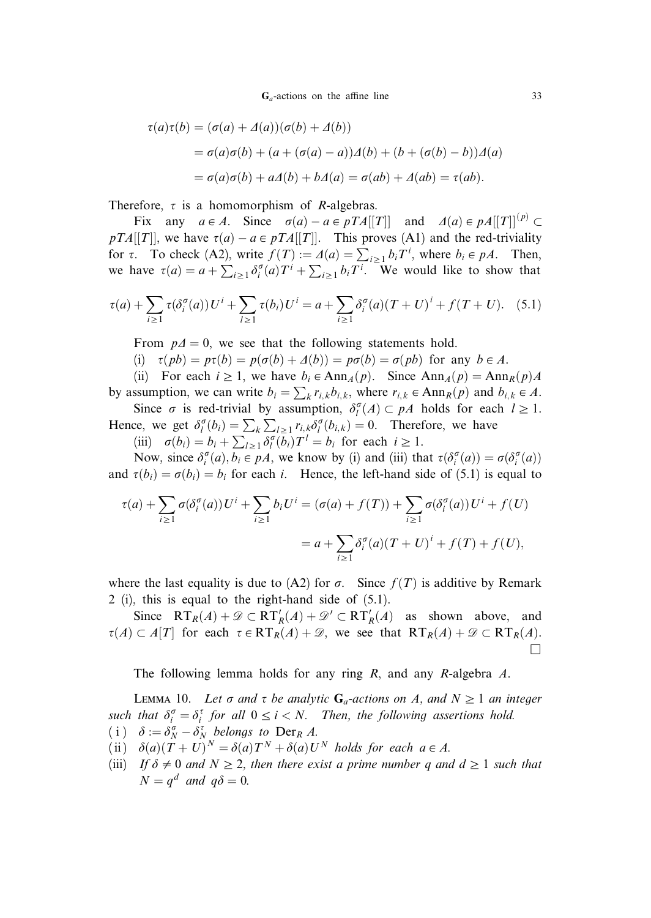$G_a$ -actions on the affine line 33

$$
\tau(a)\tau(b) = (\sigma(a) + \Delta(a))(\sigma(b) + \Delta(b))
$$
  
=  $\sigma(a)\sigma(b) + (a + (\sigma(a) - a))\Delta(b) + (b + (\sigma(b) - b))\Delta(a)$   
=  $\sigma(a)\sigma(b) + a\Delta(b) + b\Delta(a) = \sigma(ab) + \Delta(ab) = \tau(ab).$ 

Therefore,  $\tau$  is a homomorphism of *R*-algebras.

Fix any  $a \in A$ . Since  $\sigma(a) - a \in pTA[[T]]$  and  $\Delta(a) \in pA[[T]]^{(p)} \subset$  $pTA[[T]]$ , we have  $\tau(a) - a \in pTA[[T]]$ . This proves (A1) and the red-triviality for  $\tau$ . To check (A2), write  $f(T) := A(a) = \sum_{i \ge 1} b_i T^i$ , where  $b_i \in pA$ . Then, we have  $\tau(a) = a + \sum_{i \ge 1} \delta_i^{\sigma}(a) T^i + \sum_{i \ge 1} b_i T^i$ . We would like to show that

$$
\tau(a) + \sum_{i \ge 1} \tau(\delta_i^{\sigma}(a)) U^i + \sum_{l \ge 1} \tau(b_i) U^i = a + \sum_{i \ge 1} \delta_i^{\sigma}(a) (T + U)^i + f(T + U). \tag{5.1}
$$

From  $p\Delta = 0$ , we see that the following statements hold.

(i)  $\tau(pb) = p\tau(b) = p(\sigma(b) + \Delta(b)) = p\sigma(b) = \sigma(pb)$  for any  $b \in A$ .

(ii) For each  $i \geq 1$ , we have  $b_i \in \text{Ann}_A(p)$ . Since  $\text{Ann}_A(p) = \text{Ann}_R(p)A$ by assumption, we can write  $b_i = \sum_k r_{i,k} b_{i,k}$ , where  $r_{i,k} \in \text{Ann}_R(p)$  and  $b_{i,k} \in A$ .

Since  $\sigma$  is red-trivial by assumption,  $\delta_l^{\sigma}(A) \subset pA$  holds for each  $l \ge 1$ . Hence, we get  $\delta_l^{\sigma}(b_i) = \sum_k \sum_{l \ge 1} r_{i,k} \delta_l^{\sigma}(b_{i,k}) = 0$ . Therefore, we have

(iii)  $\sigma(b_i) = b_i + \sum_{l \geq 1} \delta_l^{\sigma}(b_i) T^l = b_i$  for each  $i \geq 1$ .

Now, since  $\delta_i^{\sigma}(a), b_i \in pA$ , we know by (i) and (iii) that  $\tau(\delta_i^{\sigma}(a)) = \sigma(\delta_i^{\sigma}(a))$ and  $\tau(b_i) = \sigma(b_i) = b_i$  for each i. Hence, the left-hand side of (5.1) is equal to

$$
\tau(a) + \sum_{i \ge 1} \sigma(\delta_i^{\sigma}(a)) U^i + \sum_{i \ge 1} b_i U^i = (\sigma(a) + f(T)) + \sum_{i \ge 1} \sigma(\delta_i^{\sigma}(a)) U^i + f(U)
$$
  
= 
$$
a + \sum_{i \ge 1} \delta_i^{\sigma}(a) (T + U)^i + f(T) + f(U),
$$

where the last equality is due to (A2) for  $\sigma$ . Since  $f(T)$  is additive by Remark 2 (i), this is equal to the right-hand side of (5.1).

Since  $RT_R(A) + \mathcal{D} \subset RT'_R(A) + \mathcal{D}' \subset RT'_R(A)$  as shown above, and  $\tau(A) \subset A[T]$  for each  $\tau \in RT_R(A) + \mathcal{D}$ , we see that  $RT_R(A) + \mathcal{D} \subset RT_R(A)$ .  $\Box$ 

The following lemma holds for any ring R, and any R-algebra A.

LEMMA 10. Let  $\sigma$  and  $\tau$  be analytic  $G_a$ -actions on A, and  $N \geq 1$  an integer such that  $\delta_i^{\sigma} = \delta_i^{\tau}$  for all  $0 \le i < N$ . Then, the following assertions hold. (i)  $\delta := \delta_N^{\sigma} - \delta_N^{\tau}$  belongs to Der<sub>R</sub> A.

- (ii)  $\delta(a)(T+U)^N = \delta(a)T^N + \delta(a)U^N$  holds for each  $a \in A$ .
- (iii) If  $\delta \neq 0$  and  $N \geq 2$ , then there exist a prime number q and  $d \geq 1$  such that  $N = q^d$  and  $q\delta = 0$ .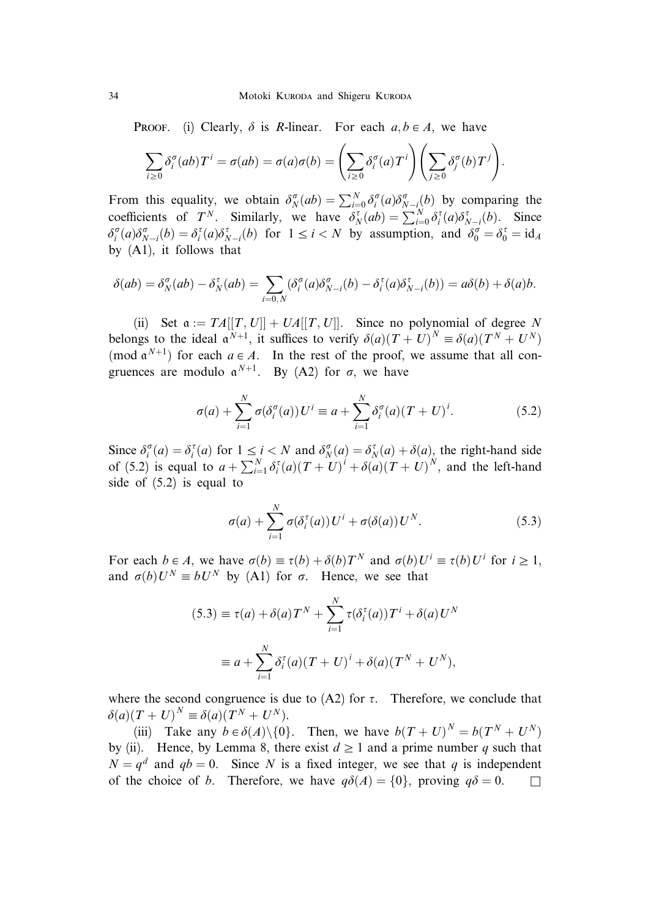PROOF. (i) Clearly,  $\delta$  is R-linear. For each  $a, b \in A$ , we have

$$
\sum_{i\geq 0} \delta_i^{\sigma}(ab) T^i = \sigma(ab) = \sigma(a)\sigma(b) = \left(\sum_{i\geq 0} \delta_i^{\sigma}(a) T^i\right) \left(\sum_{j\geq 0} \delta_j^{\sigma}(b) T^j\right).
$$

From this equality, we obtain  $\delta_N^{\sigma}(ab) = \sum_{i=0}^N \delta_i^{\sigma}(a) \delta_{N-i}^{\sigma}(b)$  by comparing the coefficients of  $T^N$ . Similarly, we have  $\delta_N^{\tau} (ab) = \sum_{i=0}^{N} \delta_i^{\tau} (a) \delta_{N-i}^{\tau} (b)$ . Since  $\delta_i^{\sigma}(a)\delta_{N-i}^{\sigma}(b) = \delta_i^{\tau}(a)\delta_{N-i}^{\tau}(b)$  for  $1 \le i < N$  by assumption, and  $\delta_0^{\sigma} = \delta_0^{\tau} = id_A$ by (A1), it follows that

$$
\delta(ab) = \delta_N^{\sigma}(ab) - \delta_N^{\tau}(ab) = \sum_{i=0,N} (\delta_i^{\sigma}(a)\delta_{N-i}^{\sigma}(b) - \delta_i^{\tau}(a)\delta_{N-i}^{\tau}(b)) = a\delta(b) + \delta(a)b.
$$

(ii) Set  $\alpha := TA[[T, U]] + UA[[T, U]]$ . Since no polynomial of degree N belongs to the ideal  $\mathfrak{a}^{N+1}$ , it suffices to verify  $\delta(a)(T+U)^N \equiv \delta(a)(T^N+U^N)$ (mod  $a^{N+1}$ ) for each  $a \in A$ . In the rest of the proof, we assume that all congruences are modulo  $a^{N+1}$ . By (A2) for  $\sigma$ , we have

$$
\sigma(a) + \sum_{i=1}^{N} \sigma(\delta_i^{\sigma}(a)) U^i \equiv a + \sum_{i=1}^{N} \delta_i^{\sigma}(a) (T + U)^i.
$$
 (5.2)

Since  $\delta_i^{\sigma}(a) = \delta_i^{\tau}(a)$  for  $1 \le i < N$  and  $\delta_N^{\sigma}(a) = \delta_N^{\tau}(a) + \delta(a)$ , the right-hand side of (5.2) is equal to  $a + \sum_{i=1}^{N} \delta_i^{\tau}(a) (T + U)^i + \delta(a) (T + U)^N$ , and the left-hand side of (5.2) is equal to

$$
\sigma(a) + \sum_{i=1}^{N} \sigma(\delta_i^{\tau}(a)) U^i + \sigma(\delta(a)) U^N.
$$
 (5.3)

For each  $b \in A$ , we have  $\sigma(b) \equiv \tau(b) + \delta(b)T^N$  and  $\sigma(b)U^i \equiv \tau(b)U^i$  for  $i \ge 1$ , and  $\sigma(b)U^N \equiv bU^N$  by (A1) for  $\sigma$ . Hence, we see that

$$
(5.3) \equiv \tau(a) + \delta(a)T^N + \sum_{i=1}^N \tau(\delta_i^{\tau}(a))T^i + \delta(a)U^N
$$

$$
\equiv a + \sum_{i=1}^N \delta_i^{\tau}(a)(T+U)^i + \delta(a)(T^N + U^N),
$$

where the second congruence is due to  $(A2)$  for  $\tau$ . Therefore, we conclude that  $\delta(a)(T+U)^N \equiv \delta(a)(T^N+U^N).$ 

(iii) Take any  $b \in \delta(A) \setminus \{0\}$ . Then, we have  $b(T + U)^N = b(T^N + U^N)$ by (ii). Hence, by Lemma 8, there exist  $d \ge 1$  and a prime number q such that  $N = q<sup>d</sup>$  and  $qb = 0$ . Since N is a fixed integer, we see that q is independent of the choice of b. Therefore, we have  $q\delta(A) = \{0\}$ , proving  $q\delta = 0$ .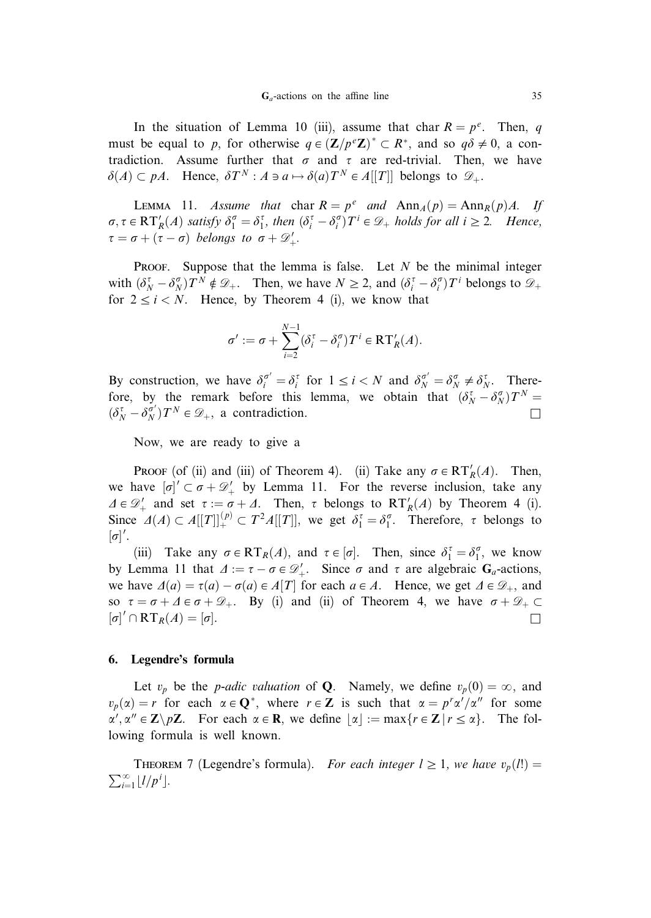In the situation of Lemma 10 (iii), assume that char  $R = p^e$ . Then, q must be equal to p, for otherwise  $q \in (\mathbf{Z}/p^e\mathbf{Z})^* \subset \mathbb{R}^*$ , and so  $q\delta \neq 0$ , a contradiction. Assume further that  $\sigma$  and  $\tau$  are red-trivial. Then, we have  $\delta(A) \subset pA$ . Hence,  $\delta T^N : A \ni a \mapsto \delta(a)T^N \in A[[T]]$  belongs to  $\mathscr{D}_+$ .

LEMMA 11. Assume that char  $R = p^e$  and  $\text{Ann}_A(p) = \text{Ann}_R(p)A$ . If  $\sigma, \tau \in RT'_R(A)$  satisfy  $\delta_1^{\sigma} = \delta_1^{\tau}$ , then  $(\delta_i^{\tau} - \delta_i^{\sigma})T^i \in \mathcal{D}_+$  holds for all  $i \geq 2$ . Hence,  $\tau = \sigma + (\tau - \sigma)$  belongs to  $\sigma + \mathscr{D}'_+$ .

PROOF. Suppose that the lemma is false. Let  $N$  be the minimal integer with  $(\delta_N^{\tau} - \delta_N^{\sigma}) T^N \notin \mathcal{D}_+$ . Then, we have  $N \geq 2$ , and  $(\delta_i^{\tau} - \delta_i^{\sigma}) T^i$  belongs to  $\mathcal{D}_+$ for  $2 \le i \le N$ . Hence, by Theorem 4 (i), we know that

$$
\sigma' := \sigma + \sum_{i=2}^{N-1} (\delta_i^{\tau} - \delta_i^{\sigma}) T^i \in \mathbf{RT}_R'(A).
$$

By construction, we have  $\delta_i^{\sigma'} = \delta_i^{\tau}$  for  $1 \le i < N$  and  $\delta_N^{\sigma'} = \delta_N^{\sigma} \ne \delta_N^{\tau}$ . Therefore, by the remark before this lemma, we obtain that  $(\delta_N^{\tau} - \delta_N^{\sigma})T^N =$  $(\delta_N^{\tau} - \delta_N^{\sigma'}) T^N \in \mathcal{D}_+$ , a contradiction.

Now, we are ready to give a

PROOF (of (ii) and (iii) of Theorem 4). (ii) Take any  $\sigma \in RT'_R(A)$ . Then, we have  $[\sigma]' \subset \sigma + \mathcal{D}'_+$  by Lemma 11. For the reverse inclusion, take any  $\Delta \in \mathcal{D}'_+$  and set  $\tau := \sigma + \Delta$ . Then,  $\tau$  belongs to  $RT'_R(\Delta)$  by Theorem 4 (i). Since  $\Delta(A) \subset A[[T]]_+^{(p)} \subset T^2A[[T]]$ , we get  $\delta_1^{\tau} = \delta_1^{\sigma}$ . Therefore,  $\tau$  belongs to  $[\sigma]'$ .

(iii) Take any  $\sigma \in RT_R(A)$ , and  $\tau \in [\sigma]$ . Then, since  $\delta_1^{\tau} = \delta_1^{\sigma}$ , we know by Lemma 11 that  $\Delta := \tau - \sigma \in \mathcal{D}'_+$ . Since  $\sigma$  and  $\tau$  are algebraic  $G_a$ -actions, we have  $\Delta(a) = \tau(a) - \sigma(a) \in A[T]$  for each  $a \in A$ . Hence, we get  $\Delta \in \mathcal{D}_+$ , and so  $\tau = \sigma + \Delta \epsilon \sigma + \mathcal{D}_+$ . By (i) and (ii) of Theorem 4, we have  $\sigma + \mathcal{D}_+ \subset$  $\left[\sigma\right]' \cap RT_R(A) = \left[\sigma\right].$ 

#### 6. Legendre's formula

Let  $v_p$  be the *p-adic valuation* of **Q**. Namely, we define  $v_p(0) = \infty$ , and  $v_p(\alpha) = r$  for each  $\alpha \in \mathbb{Q}^*$ , where  $r \in \mathbb{Z}$  is such that  $\alpha = p^r \alpha'/\alpha''$  for some  $\alpha', \alpha'' \in \mathbb{Z} \setminus p\mathbb{Z}$ . For each  $\alpha \in \mathbb{R}$ , we define  $\lfloor \alpha \rfloor := \max\{r \in \mathbb{Z} \mid r \leq \alpha\}$ . The following formula is well known.

THEOREM 7 (Legendre's formula). For each integer  $l \ge 1$ , we have  $v_p(l!) =$  $\sum_{i=1}^{\infty} \lfloor l/p^i \rfloor$ .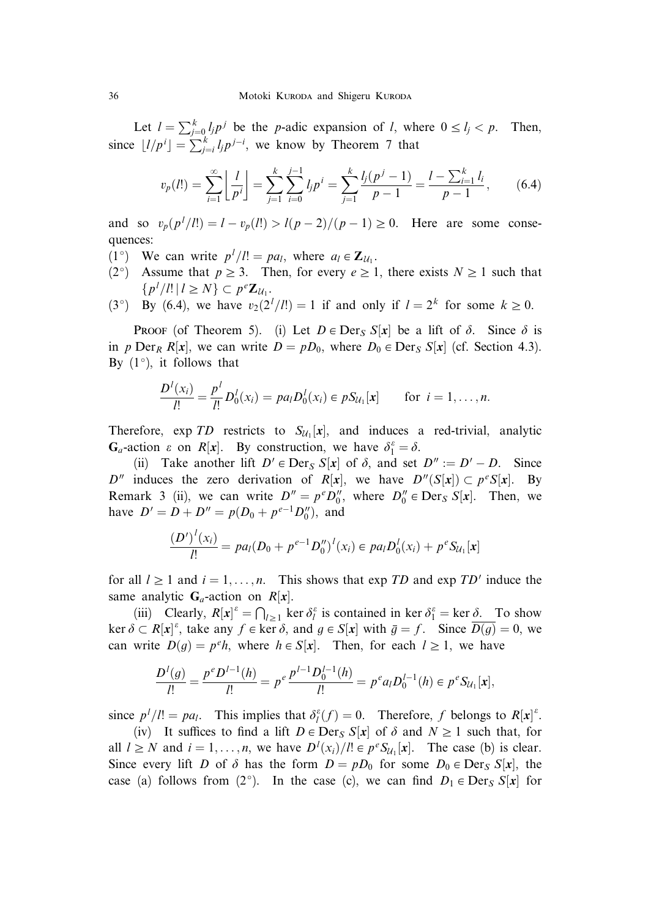Let  $l = \sum_{j=0}^{k} l_j p^j$  be the *p*-adic expansion of *l*, where  $0 \le l_j < p$ . Then, since  $\lfloor l/p^i \rfloor = \sum_{j=i}^{k} l_j p^{j-i}$ , we know by Theorem 7 that

$$
v_p(l!) = \sum_{i=1}^{\infty} \left\lfloor \frac{l}{p^i} \right\rfloor = \sum_{j=1}^k \sum_{i=0}^{j-1} l_j p^i = \sum_{j=1}^k \frac{l_j(p^j - 1)}{p - 1} = \frac{l - \sum_{i=1}^k l_i}{p - 1},\qquad(6.4)
$$

and so  $v_p(p^l/l!) = l - v_p(l!) > l(p-2)/(p-1) \ge 0$ . Here are some consequences:

- (1°) We can write  $p^{l}/l! = pa_{l}$ , where  $a_{l} \in \mathbb{Z}_{\mathcal{U}_{1}}$ .
- (2°) Assume that  $p \ge 3$ . Then, for every  $e \ge 1$ , there exists  $N \ge 1$  such that  $\{p^l / l! \mid l \geq N\} \subset p^e \mathbf{Z}_{\mathcal{U}_1}.$
- (3<sup>o</sup>) By (6.4), we have  $v_2(2^l/l!) = 1$  if and only if  $l = 2^k$  for some  $k \ge 0$ .

**PROOF** (of Theorem 5). (i) Let  $D \in \text{Der}_S S[x]$  be a lift of  $\delta$ . Since  $\delta$  is in p Der<sub>R</sub> R[x], we can write  $D = pD_0$ , where  $D_0 \in \text{Der}_S S[x]$  (cf. Section 4.3). By  $(1^{\circ})$ , it follows that

$$
\frac{D^{l}(x_i)}{l!} = \frac{p^{l}}{l!} D^{l}_{0}(x_i) = pa_l D^{l}_{0}(x_i) \in pS_{\mathcal{U}_1}[x] \quad \text{for } i = 1, ..., n.
$$

Therefore,  $\exp TD$  restricts to  $S_{\mathcal{U}_1}[x]$ , and induces a red-trivial, analytic  $G_a$ -action  $\varepsilon$  on  $R[x]$ . By construction, we have  $\delta_1^{\varepsilon} = \delta$ .

(ii) Take another lift  $D' \in \text{Der}_S S[x]$  of  $\delta$ , and set  $D'' := D' - D$ . Since D<sup>*n*</sup> induces the zero derivation of R[x], we have  $D''(S[x]) \subset p^eS[x]$ . By Remark 3 (ii), we can write  $D'' = p^e D_0''$ , where  $D_0'' \in \text{Der}_S S[x]$ . Then, we have  $D' = D + D'' = p(D_0 + p^{e-1}D_0'')$ , and

$$
\frac{(D')^{l}(x_i)}{l!} = pa_l(D_0 + p^{e-1}D_0'')^{l}(x_i) \in pa_lD_0^{l}(x_i) + p^{e}S_{l l_1}[x]
$$

for all  $l \ge 1$  and  $i = 1, ..., n$ . This shows that exp TD and exp TD' induce the same analytic  $G_a$ -action on  $R[x]$ .

(iii) Clearly,  $R[x]^\varepsilon = \bigcap_{l \ge 1}$  ker  $\delta_l^\varepsilon$  is contained in ker  $\delta_1^\varepsilon =$  ker  $\underline{\delta}$ . To show ker  $\delta \subset R[x]^{\varepsilon}$ , take any  $f \in \ker \delta$ , and  $g \in S[x]$  with  $\bar{g} = f$ . Since  $\overline{D(g)} = 0$ , we can write  $D(g) = p^e h$ , where  $h \in S[x]$ . Then, for each  $l \ge 1$ , we have

$$
\frac{D^l(g)}{l!} = \frac{p^e D^{l-1}(h)}{l!} = p^e \frac{p^{l-1} D_0^{l-1}(h)}{l!} = p^e a_l D_0^{l-1}(h) \in p^e S_{\mathcal{U}_1}[\mathbf{x}],
$$

since  $p^l / l! = pa_l$ . This implies that  $\delta_l^{\varepsilon}(f) = 0$ . Therefore, f belongs to  $R[x]$ <sup> $\varepsilon$ </sup>.

(iv) It suffices to find a lift  $D \in \text{Der}_S S[x]$  of  $\delta$  and  $N \ge 1$  such that, for all  $l \geq N$  and  $i = 1, ..., n$ , we have  $D^{l}(x_i)/l! \in p^{e}S_{\mathcal{U}_1}[\mathbf{x}]$ . The case (b) is clear. Since every lift D of  $\delta$  has the form  $D = pD_0$  for some  $D_0 \in \text{Der}_S S[x]$ , the case (a) follows from (2°). In the case (c), we can find  $D_1 \in \text{Der}_S S[x]$  for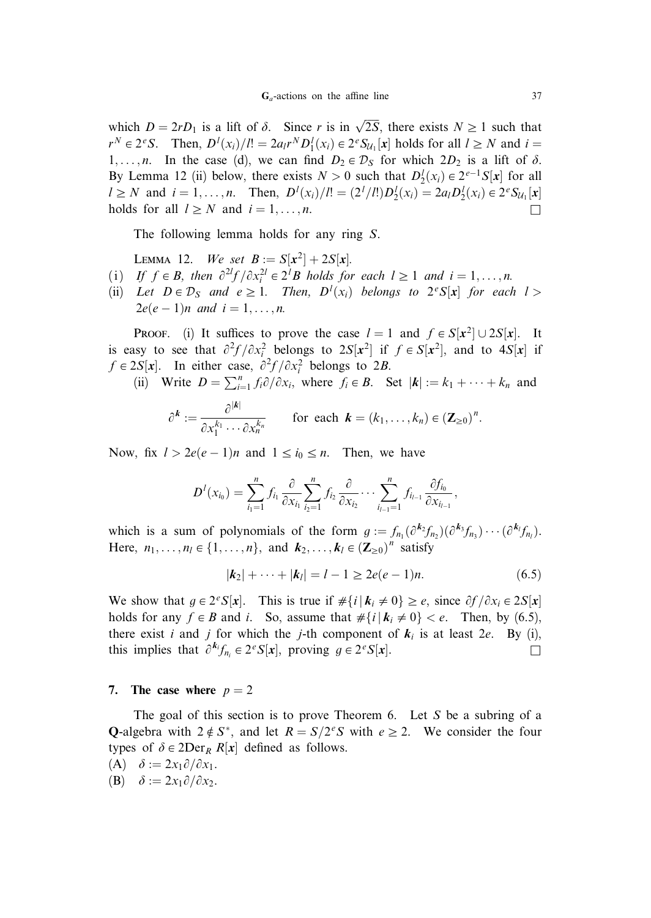which  $D = 2rD_1$  is a lift of  $\delta$ . Since r is in  $\sqrt{2S}$ , there exists  $N \ge 1$  such that  $r^N \in 2^eS$ . Then,  $D^l(x_i)/l! = 2a_l r^N D_1^l(x_i) \in 2^e S_{\mathcal{U}_1}[x]$  holds for all  $l \geq N$  and  $i =$ 1,...,*n*. In the case (d), we can find  $D_2 \in \mathcal{D}_S$  for which  $2D_2$  is a lift of  $\delta$ . By Lemma 12 (ii) below, there exists  $N > 0$  such that  $D_2^l(x_i) \in 2^{e-1}S[x]$  for all  $l \ge N$  and  $i = 1, ..., n$ . Then,  $D^{l}(x_i)/l! = (2^{l}/l!)D_2^{l}(x_i) = 2a_lD_2^{l}(x_i) \in 2^{e}S_{l l_1}[x]$ holds for all  $l \geq N$  and  $i = 1, ..., n$ .

The following lemma holds for any ring S.

LEMMA 12. We set  $B := S[x^2] + 2S[x]$ .

- (i) If  $f \in B$ , then  $\frac{\partial^{2l} f}{\partial x_i^{2l}} \in 2^l B$  holds for each  $l \ge 1$  and  $i = 1, ..., n$ .
- (ii) Let  $D \in \mathcal{D}_S$  and  $e \geq 1$ . Then,  $D^l(x_i)$  belongs to  $2^eS[x]$  for each  $l >$  $2e(e - 1)n$  and  $i = 1, ..., n$ .

**PROOF.** (i) It suffices to prove the case  $l = 1$  and  $f \in S[x^2] \cup 2S[x]$ . It is easy to see that  $\partial^2 f / \partial x_i^2$  belongs to  $2S[x^2]$  if  $f \in S[x^2]$ , and to  $4S[x]$  if  $f \in 2S[x]$ . In either case,  $\frac{\partial^2 f}{\partial x_i^2}$  belongs to 2B.

(ii) Write  $D = \sum_{i=1}^{n} f_i \partial/\partial x_i$ , where  $f_i \in B$ . Set  $|\mathbf{k}| := k_1 + \cdots + k_n$  and

$$
\partial^{\boldsymbol{k}} := \frac{\partial^{|\boldsymbol{k}|}}{\partial x_1^{k_1} \cdots \partial x_n^{k_n}} \qquad \text{for each } \boldsymbol{k} = (k_1, \ldots, k_n) \in (\mathbf{Z}_{\geq 0})^n.
$$

Now, fix  $l > 2e(e-1)n$  and  $1 \le i_0 \le n$ . Then, we have

$$
D^{l}(x_{i_0}) = \sum_{i_1=1}^{n} f_{i_1} \frac{\partial}{\partial x_{i_1}} \sum_{i_2=1}^{n} f_{i_2} \frac{\partial}{\partial x_{i_2}} \cdots \sum_{i_{l-1}=1}^{n} f_{i_{l-1}} \frac{\partial f_{i_0}}{\partial x_{i_{l-1}}},
$$

which is a sum of polynomials of the form  $g := f_{n_1}(\partial^{k_2} f_{n_2})(\partial^{k_3} f_{n_3}) \cdots (\partial^{k_l} f_{n_l}).$ Here,  $n_1, \ldots, n_l \in \{1, \ldots, n\}$ , and  $k_2, \ldots, k_l \in (\mathbb{Z}_{\geq 0})^n$  satisfy

$$
|\mathbf{k}_2| + \dots + |\mathbf{k}_l| = l - 1 \ge 2e(e - 1)n. \tag{6.5}
$$

We show that  $g \in 2^eS[x]$ . This is true if  $\#\{i \mid k_i \neq 0\} \geq e$ , since  $\partial f / \partial x_i \in 2S[x]$ holds for any  $f \in B$  and i. So, assume that  $\#\{i \mid k_i \neq 0\} < e$ . Then, by (6.5), there exist i and j for which the j-th component of  $k_i$  is at least 2e. By (i), this implies that  $\partial^{k_i} f_{n_i} \in 2^e S[x]$ , proving  $g \in 2^e S[x]$ .

#### 7. The case where  $p = 2$

The goal of this section is to prove Theorem 6. Let  $S$  be a subring of a **Q-algebra** with  $2 \notin S^*$ , and let  $R = S/2^eS$  with  $e \ge 2$ . We consider the four types of  $\delta \in 2\text{Der}_R R[x]$  defined as follows.

- (A)  $\delta := 2x_1 \partial / \partial x_1$ .
- (B)  $\delta := 2x_1 \partial / \partial x_2$ .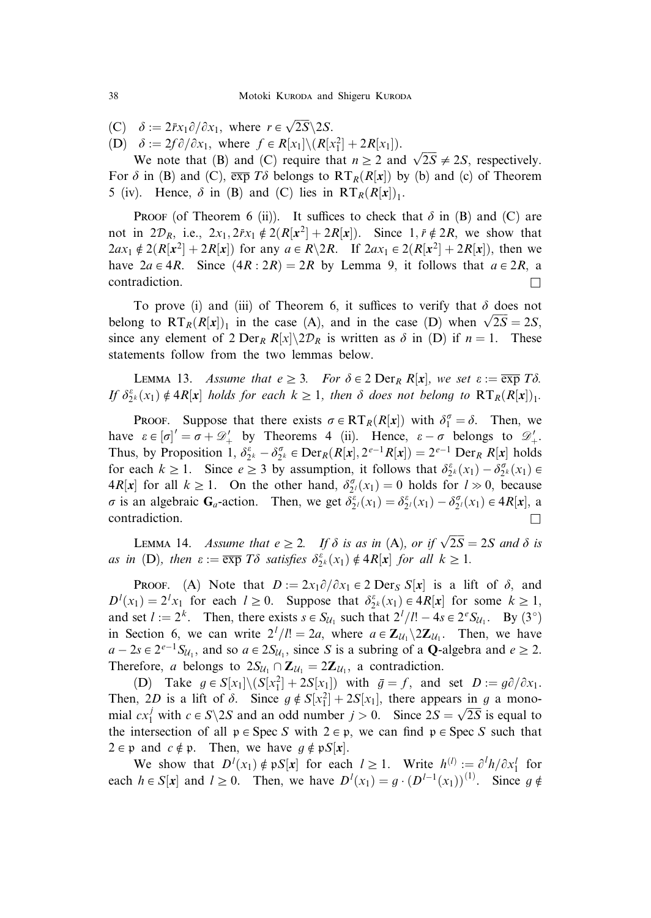(C)  $\delta := 2\bar{r}x_1\partial/\partial x_1$ , where  $r \in \sqrt{2S} \backslash 2S$ .

(D)  $\delta := 2f \partial/\partial x_1$ , where  $f \in R[x_1] \setminus (R[x_1^2] + 2R[x_1])$ .

 $\theta := 2J \theta / \theta \lambda_1$ , where  $J \in \mathbb{R}[\lambda_1] \setminus (\mathbb{R}[\lambda_1] + 2\lambda [\lambda_1])$ .<br>We note that (B) and (C) require that  $n \ge 2$  and  $\sqrt{2S} \ne 2S$ , respectively. For  $\delta$  in (B) and (C),  $\overline{\exp T\delta}$  belongs to  $RT_R(R[x])$  by (b) and (c) of Theorem 5 (iv). Hence,  $\delta$  in (B) and (C) lies in  $RT_R(R[x])_1$ .

**PROOF** (of Theorem 6 (ii)). It suffices to check that  $\delta$  in (B) and (C) are not in  $2\mathcal{D}_R$ , i.e.,  $2x_1, 2\bar{r}x_1 \notin 2(R[x^2] + 2R[x])$ . Since  $1, \bar{r} \notin 2R$ , we show that  $2ax_1 \notin 2(R[x^2] + 2R[x])$  for any  $a \in R \setminus 2R$ . If  $2ax_1 \in 2(R[x^2] + 2R[x])$ , then we have  $2a \in 4R$ . Since  $(4R : 2R) = 2R$  by Lemma 9, it follows that  $a \in 2R$ , a contradiction.  $\Box$ 

To prove (i) and (iii) of Theorem 6, it suffices to verify that  $\delta$  does not belong to  $RT_R(R[x])_1$  in the case (A), and in the case (D) when  $\sqrt{2S} = 2S$ , since any element of 2 Der<sub>R</sub> R[x]\2D<sub>R</sub> is written as  $\delta$  in (D) if  $n = 1$ . These statements follow from the two lemmas below.

LEMMA 13. Assume that  $e \geq 3$ . For  $\delta \in 2$  Der<sub>R</sub> R[x], we set  $\varepsilon := \overline{\exp T\delta}$ . If  $\delta_{2^k}^{\varepsilon}(x_1) \notin 4R[x]$  holds for each  $k \geq 1$ , then  $\delta$  does not belong to  $RT_R(R[x])_1$ .

**PROOF.** Suppose that there exists  $\sigma \in RT_R(R[x])$  with  $\delta_1^{\sigma} = \delta$ . Then, we have  $\varepsilon \in [\sigma]' = \sigma + \mathcal{D}'_+$  by Theorems 4 (ii). Hence,  $\varepsilon - \sigma$  belongs to  $\mathcal{D}'_+$ . Thus, by Proposition 1,  $\delta_{2^k}^{\varepsilon} - \delta_{2^k}^{\sigma} \in \text{Der}_R(R[x], 2^{\varepsilon-1}R[x]) = 2^{\varepsilon-1} \text{ Der}_R R[x]$  holds for each  $k \ge 1$ . Since  $e \ge 3$  by assumption, it follows that  $\delta_{2^k}^{\varepsilon}(x_1) - \delta_{2^k}^{\sigma}(x_1) \in$  $4R[x]$  for all  $k \ge 1$ . On the other hand,  $\delta_{2^l}^{\sigma}(x_1) = 0$  holds for  $l \gg 0$ , because  $\sigma$  is an algebraic  $G_a$ -action. Then, we get  $\delta_2^{\varepsilon}(x_1) = \delta_2^{\varepsilon}(x_1) - \delta_2^{\sigma}(x_1) \in 4R[x]$ , a  $\Box$ contradiction.

LEMMA 14. Assume that  $e \ge 2$ . If  $\delta$  is as in (A), or if  $\sqrt{2S} = 2S$  and  $\delta$  is as in (D), then  $\varepsilon := \overline{\exp} T\delta$  satisfies  $\delta_{2^k}^{\varepsilon}(x_1) \notin 4R[x]$  for all  $k \geq 1$ .

**PROOF.** (A) Note that  $D := 2x_1\partial/\partial x_1 \in 2$  Der<sub>S</sub> S[x] is a lift of  $\delta$ , and  $D^l(x_1) = 2^l x_1$  for each  $l \ge 0$ . Suppose that  $\delta_{2^k}^{\varepsilon}(x_1) \in 4R[x]$  for some  $k \ge 1$ , and set  $l := 2^k$ . Then, there exists  $s \in S_{\mathcal{U}_1}$  such that  $2^l/l! - 4s \in 2^eS_{\mathcal{U}_1}$ . By  $(3^{\circ})$ in Section 6, we can write  $2^l/l! = 2a$ , where  $a \in \mathbb{Z}_{\mathcal{U}_1} \setminus 2\mathbb{Z}_{\mathcal{U}_1}$ . Then, we have  $a - 2s \in 2^{e-1}S_{\mathcal{U}_1}$ , and so  $a \in 2S_{\mathcal{U}_1}$ , since S is a subring of a **Q**-algebra and  $e \ge 2$ . Therefore, *a* belongs to  $2S_{U_1} \cap Z_{U_1} = 2Z_{U_1}$ , a contradiction.

(D) Take  $g \in S[x_1] \setminus (S[x_1^2] + 2S[x_1])$  with  $\bar{g} = f$ , and set  $D := g\partial/\partial x_1$ . Then, 2D is a lift of  $\delta$ . Since  $g \notin S[x_1^2] + 2S[x_1]$ , there appears in g a mono-Then,  $2D$  is a lift of b. Since  $g \notin S[\lambda_1] + 2S[\lambda_1]$ , there appears in y a mono-<br>mial  $cx_1^j$  with  $c \in S \backslash 2S$  and an odd number  $j > 0$ . Since  $2S = \sqrt{2S}$  is equal to the intersection of all  $p \in \text{Spec } S$  with  $2 \in p$ , we can find  $p \in \text{Spec } S$  such that  $2 \in \mathfrak{p}$  and  $c \notin \mathfrak{p}$ . Then, we have  $q \notin \mathfrak{p}S[x]$ .

We show that  $D^{l}(x_1) \notin pS[x]$  for each  $l \geq 1$ . Write  $h^{(l)} := \partial^{l}h/\partial x_1^{l}$  for each  $h \in S[x]$  and  $l \geq 0$ . Then, we have  $D^{l}(x_1) = g \cdot (D^{l-1}(x_1))^{(1)}$ . Since  $g \notin I$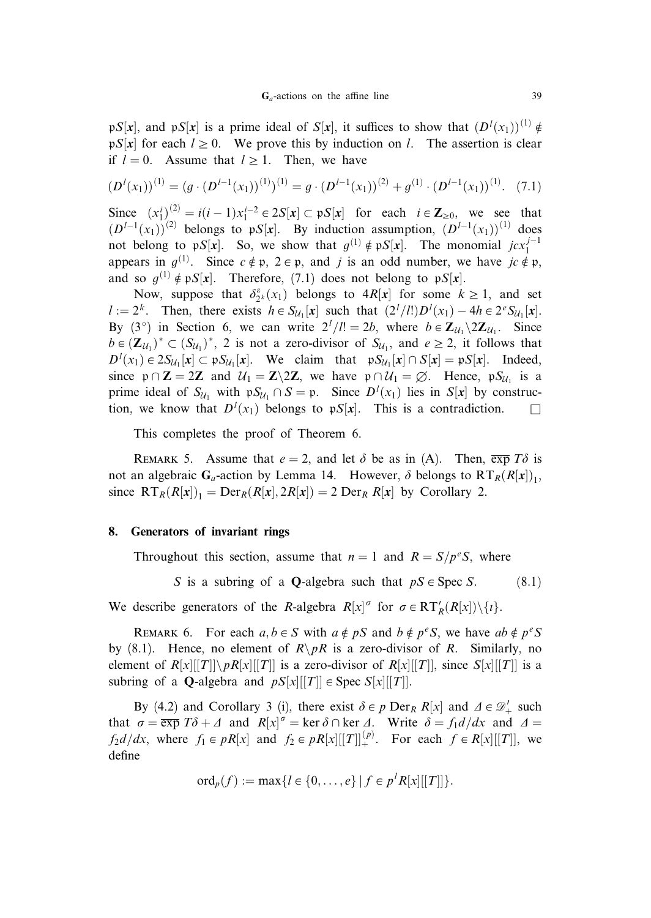pS[x], and pS[x] is a prime ideal of S[x], it suffices to show that  $(D<sup>l</sup>(x<sub>1</sub>))<sup>(1)</sup> \notin$  $pS[x]$  for each  $l \ge 0$ . We prove this by induction on l. The assertion is clear if  $l = 0$ . Assume that  $l \geq 1$ . Then, we have

$$
(D^{l}(x_1))^{(1)} = (g \cdot (D^{l-1}(x_1))^{(1)})^{(1)} = g \cdot (D^{l-1}(x_1))^{(2)} + g^{(1)} \cdot (D^{l-1}(x_1))^{(1)}.
$$
 (7.1)

Since  $(x_1^i)^{(2)} = i(i-1)x_1^{i-2} \in 2S[x] \subset pS[x]$  for each  $i \in \mathbb{Z}_{\geq 0}$ , we see that  $(D^{1-1}(x_1))^{(2)}$  belongs to pS[x]. By induction assumption,  $(D^{1-1}(x_1))^{(1)}$  does not belong to pS[x]. So, we show that  $g^{(1)} \notin pS[x]$ . The monomial  $jcx_1^{j-1}$ appears in  $g^{(1)}$ . Since  $c \notin \mathfrak{p}$ ,  $2 \in \mathfrak{p}$ , and j is an odd number, we have  $jc \notin \mathfrak{p}$ , and so  $g^{(1)} \notin pS[x]$ . Therefore, (7.1) does not belong to  $pS[x]$ .

Now, suppose that  $\delta_{2^k}^{\varepsilon}(x_1)$  belongs to  $4R[x]$  for some  $k \ge 1$ , and set  $l := 2^k$ . Then, there exists  $h \in S_{\mathcal{U}_1}[\mathbf{x}]$  such that  $(2^l/l!)D^l(x_1) - 4h \in 2^eS_{\mathcal{U}_1}[\mathbf{x}]$ . By (3°) in Section 6, we can write  $2^l/l! = 2b$ , where  $b \in \mathbb{Z}_{\mathcal{U}_1} \setminus 2\mathbb{Z}_{\mathcal{U}_1}$ . Since  $b \in (\mathbf{Z}_{\mathcal{U}_1})^* \subset (S_{\mathcal{U}_1})^*$ , 2 is not a zero-divisor of  $S_{\mathcal{U}_1}$ , and  $e \geq 2$ , it follows that  $D^l(x_1) \in 2S_{\mathcal{U}_1}[x] \subset \mathfrak{p}S_{\mathcal{U}_1}[x]$ . We claim that  $\mathfrak{p}S_{\mathcal{U}_1}[x] \cap S[x] = \mathfrak{p}S[x]$ . Indeed, since  $p \cap Z = 2Z$  and  $U_1 = Z \setminus 2Z$ , we have  $p \cap U_1 = \emptyset$ . Hence,  $pS_{U_1}$  is a prime ideal of  $S_{\mathcal{U}_1}$  with  $pS_{\mathcal{U}_1} \cap S = p$ . Since  $D^l(x_1)$  lies in  $S[x]$  by construction, we know that  $D^l(x_1)$  belongs to  $pS[x]$ . This is a contradiction.  $\square$ 

This completes the proof of Theorem 6.

REMARK 5. Assume that  $e = 2$ , and let  $\delta$  be as in (A). Then,  $\overline{exp} T\delta$  is not an algebraic  $G_a$ -action by Lemma 14. However,  $\delta$  belongs to  $RT_R(R[x])_1$ , since  $RT_R(R[x])_1 = Der_R(R[x], 2R[x]) = 2 Der_R R[x]$  by Corollary 2.

## 8. Generators of invariant rings

Throughout this section, assume that  $n = 1$  and  $R = S/p^eS$ , where

S is a subring of a Q-algebra such that  $pS \in \text{Spec } S$ : (8.1)

We describe generators of the R-algebra  $R[x]^\sigma$  for  $\sigma \in RT'_R(R[x]) \setminus \{i\}.$ 

REMARK 6. For each  $a, b \in S$  with  $a \notin pS$  and  $b \notin p^eS$ , we have  $ab \notin p^eS$ by (8.1). Hence, no element of  $R\pmb{\wedge}pR$  is a zero-divisor of R. Similarly, no element of  $R[x][[T]]\backslash pR[x][[T]]$  is a zero-divisor of  $R[x][[T]]$ , since  $S[x][[T]]$  is a subring of a **Q**-algebra and  $pS[x][[T]] \in \text{Spec } S[x][[T]]$ .

By (4.2) and Corollary 3 (i), there exist  $\delta \in p \text{ Der}_R R[x]$  and  $\Delta \in \mathcal{D}'_+$  such that  $\sigma = \overline{\exp} T\delta + \Delta$  and  $R[x]^\sigma = \ker \delta \cap \ker \Delta$ . Write  $\delta = f_1 d/dx$  and  $\Delta =$  $f_2d/dx$ , where  $f_1 \in pR[x]$  and  $f_2 \in pR[x][[T]]_+^{(p)}$ . For each  $f \in R[x][[T]]$ , we define

$$
\mathrm{ord}_p(f) := \max\{l \in \{0,\ldots,e\} \mid f \in p^l R[x][[T]]\}.
$$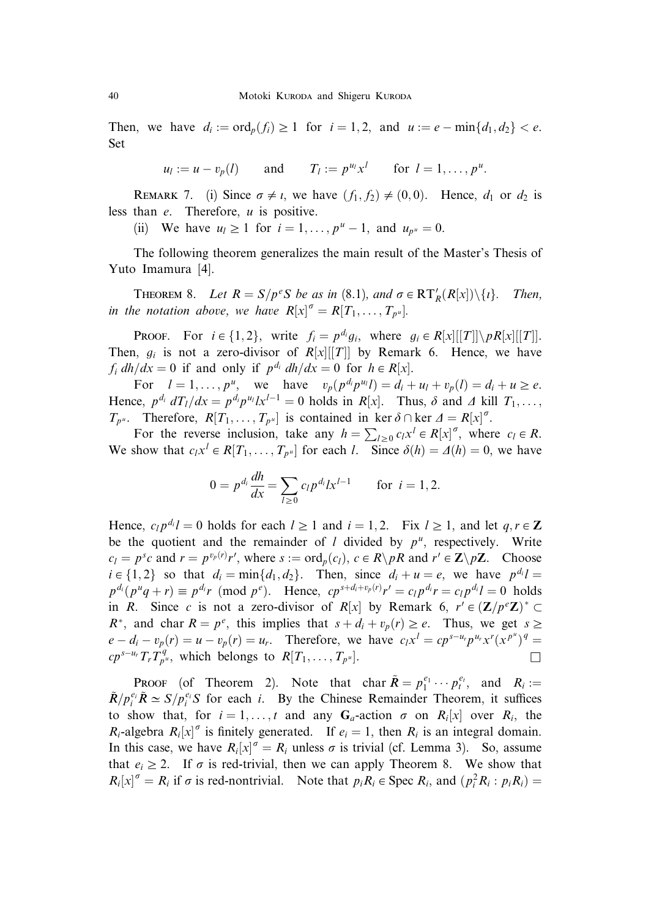Then, we have  $d_i := \text{ord}_p(f_i) \geq 1$  for  $i = 1, 2$ , and  $u := e - \min\{d_1, d_2\} < e$ . Set

$$
u_l := u - v_p(l)
$$
 and  $T_l := p^{u_l} x^l$  for  $l = 1, ..., p^u$ .

REMARK 7. (i) Since  $\sigma \neq i$ , we have  $(f_1, f_2) \neq (0, 0)$ . Hence,  $d_1$  or  $d_2$  is less than  $e$ . Therefore,  $u$  is positive.

(ii) We have  $u_l \ge 1$  for  $i = 1, ..., p^u - 1$ , and  $u_{n^u} = 0$ .

The following theorem generalizes the main result of the Master's Thesis of Yuto Imamura [4].

**THEOREM 8.** Let  $R = S/p^eS$  be as in (8.1), and  $\sigma \in RT_R(R[x])\setminus\{i\}$ . Then, in the notation above, we have  $R[x]^{\sigma} = R[T_1, \ldots, T_{p^u}]$ .

**PROOF.** For  $i \in \{1, 2\}$ , write  $f_i = p^{d_i} g_i$ , where  $g_i \in R[x][[T]] \backslash pR[x][[T]]$ . Then,  $g_i$  is not a zero-divisor of  $R[x][T]]$  by Remark 6. Hence, we have  $f_i dh/dx = 0$  if and only if  $p^{d_i} dh/dx = 0$  for  $h \in R[x]$ .

For  $l = 1, ..., p^u$ , we have  $v_p(p^{d_i} p^{u_i} l) = d_i + u_l + v_p(l) = d_i + u \ge e$ . Hence,  $p^{d_i} dT_l/dx = p^{d_i} p^{u_i} l x^{l-1} = 0$  holds in  $R[x]$ . Thus,  $\delta$  and  $\Delta$  kill  $T_1, \ldots,$  $T_{p^u}$ . Therefore,  $R[T_1, \ldots, T_{p^u}]$  is contained in ker  $\delta \cap$  ker  $\Delta = R[x]^\sigma$ .

For the reverse inclusion, take any  $h = \sum_{l \geq 0} c_l x^l \in R[x]^\sigma$ , where  $c_l \in R$ . We show that  $c_1x^l \in R[T_1, \ldots, T_{p^u}]$  for each *l*. Since  $\delta(h) = \Delta(h) = 0$ , we have

$$
0 = p^{d_i} \frac{dh}{dx} = \sum_{l \ge 0} c_l p^{d_l} x^{l-1} \quad \text{for } i = 1, 2.
$$

Hence,  $c_l p^{d_l} l = 0$  holds for each  $l \ge 1$  and  $i = 1, 2$ . Fix  $l \ge 1$ , and let  $q, r \in \mathbb{Z}$ be the quotient and the remainder of *l* divided by  $p^u$ , respectively. Write  $c_l = p^s c$  and  $r = p^{v_p(r)}r'$ , where  $s := \text{ord}_p(c_l)$ ,  $c \in R \backslash pR$  and  $r' \in \mathbb{Z} \backslash p\mathbb{Z}$ . Choose  $i \in \{1, 2\}$  so that  $d_i = \min\{d_1, d_2\}$ . Then, since  $d_i + u = e$ , we have  $p^{d_i}l =$  $p^{d_i}(p^u q + r) \equiv p^{d_i} r \pmod{p^e}$ . Hence,  $cp^{s+d_i+v_p(r)} r' = c_l p^{d_i} r = c_l p^{d_i} l = 0$  holds in R. Since c is not a zero-divisor of R[x] by Remark 6,  $r' \in (\mathbf{Z}/p^e\mathbf{Z})^* \subset \mathbf{Z}/p^e\mathbf{Z}$  $R^*$ , and char  $R = p^e$ , this implies that  $s + d_i + v_p(r) \ge e$ . Thus, we get  $s \ge 0$  $e - d_i - v_p(r) = u - v_p(r) = u_r$ . Therefore, we have  $c_l x^l = c p^{s-u_r} p^{u_r} x^r (x^{p^u})^q =$  $\mathcal{CP}^{s-u_r}T_rT_{p^u}^q$ , which belongs to  $R[T_1,\ldots,T_{p^u}].$ 

**PROOF** (of Theorem 2). Note that char  $\tilde{R} = p_1^{e_1} \cdots p_t^{e_t}$ , and  $R_i :=$  $\tilde{R}/p_i^{e_i}\tilde{R} \simeq S/p_i^{e_i}S$  for each i. By the Chinese Remainder Theorem, it suffices to show that, for  $i = 1, ..., t$  and any  $G_a$ -action  $\sigma$  on  $R_i[x]$  over  $R_i$ , the  $R_i$ -algebra  $R_i[x]^\sigma$  is finitely generated. If  $e_i = 1$ , then  $R_i$  is an integral domain. In this case, we have  $R_i[x]^\sigma = R_i$  unless  $\sigma$  is trivial (cf. Lemma 3). So, assume that  $e_i \ge 2$ . If  $\sigma$  is red-trivial, then we can apply Theorem 8. We show that  $R_i[x]^\sigma = R_i$  if  $\sigma$  is red-nontrivial. Note that  $p_i R_i \in \text{Spec } R_i$ , and  $\left( p_i^2 R_i : p_i R_i \right) =$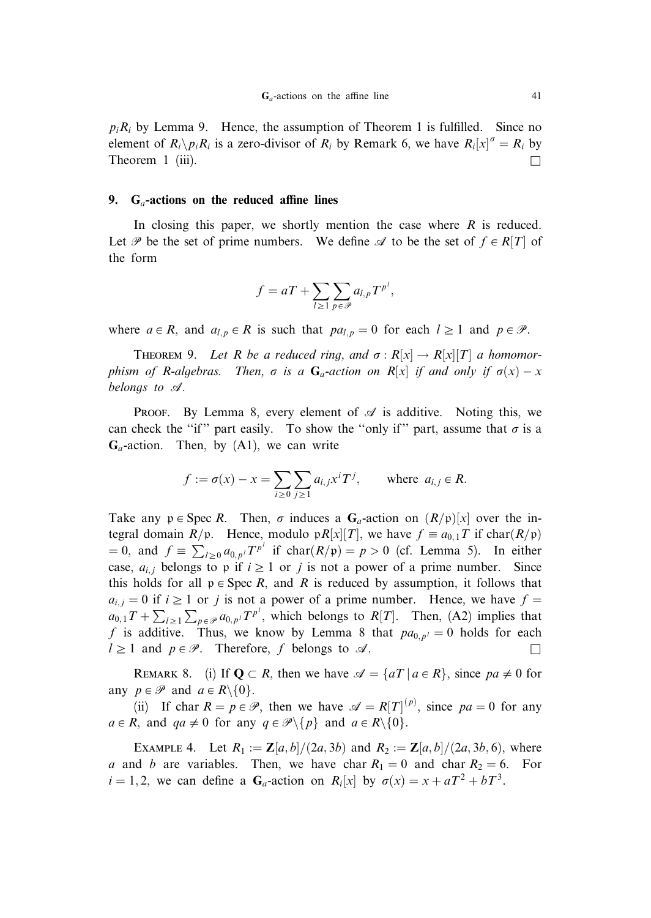$p_iR_i$  by Lemma 9. Hence, the assumption of Theorem 1 is fulfilled. Since no element of  $R_i \backslash p_i R_i$  is a zero-divisor of  $R_i$  by Remark 6, we have  $R_i[x]^\sigma = R_i$  by Theorem 1 (iii).  $\Box$ 

#### 9.  $G_a$ -actions on the reduced affine lines

In closing this paper, we shortly mention the case where  $R$  is reduced. Let P be the set of prime numbers. We define  $\mathscr A$  to be the set of  $f \in R[T]$  of the form

$$
f = aT + \sum_{l \geq 1} \sum_{p \in \mathscr{P}} a_{l,p} T^{p^l},
$$

where  $a \in R$ , and  $a_{l,p} \in R$  is such that  $pa_{l,p} = 0$  for each  $l \ge 1$  and  $p \in \mathcal{P}$ .

**THEOREM 9.** Let R be a reduced ring, and  $\sigma : R[x] \to R[x][T]$  a homomorphism of R-algebras. Then,  $\sigma$  is a  $G_a$ -action on R[x] if and only if  $\sigma(x) - x$ belongs to A.

**PROOF.** By Lemma 8, every element of  $\mathscr A$  is additive. Noting this, we can check the "if" part easily. To show the "only if" part, assume that  $\sigma$  is a  $G_a$ -action. Then, by (A1), we can write

$$
f := \sigma(x) - x = \sum_{i \ge 0} \sum_{j \ge 1} a_{i,j} x^i T^j, \quad \text{where } a_{i,j} \in R.
$$

Take any  $p \in \text{Spec } R$ . Then,  $\sigma$  induces a  $G_a$ -action on  $(R/p)[x]$  over the integral domain  $R/\mathfrak{p}$ . Hence, modulo  $\mathfrak{p}R[x][T]$ , we have  $f \equiv a_{0,1}T$  if char $(R/\mathfrak{p})$ = 0, and  $f \equiv \sum_{l \ge 0} a_{0,p} T^{p^l}$  if  $char(R/\mathfrak{p}) = p > 0$  (cf. Lemma 5). In either case,  $a_{i,j}$  belongs to p if  $i \geq 1$  or j is not a power of a prime number. Since this holds for all  $p \in \text{Spec } R$ , and R is reduced by assumption, it follows that  $a_{i,j} = 0$  if  $i \ge 1$  or j is not a power of a prime number. Hence, we have  $f =$  $a_{0,1}T + \sum_{l \geq 1} \sum_{p \in \mathcal{P}} a_{0,p}T^{p^l}$ , which belongs to  $R[T]$ . Then, (A2) implies that f is additive. Thus, we know by Lemma 8 that  $pa_{0,p'} = 0$  holds for each  $l \geq 1$  and  $p \in \mathcal{P}$ . Therefore, f belongs to  $\mathcal{A}$ .

REMARK 8. (i) If  $Q \subset R$ , then we have  $\mathcal{A} = \{aT \mid a \in R\}$ , since  $pa \neq 0$  for any  $p \in \mathcal{P}$  and  $a \in R \setminus \{0\}$ .

(ii) If char  $R = p \in \mathcal{P}$ , then we have  $\mathcal{A} = R[T]^{(p)}$ , since  $pa = 0$  for any  $a \in R$ , and  $qa \neq 0$  for any  $q \in \mathcal{P} \setminus \{p\}$  and  $a \in R \setminus \{0\}$ .

EXAMPLE 4. Let  $R_1 := \mathbb{Z}[a, b]/(2a, 3b)$  and  $R_2 := \mathbb{Z}[a, b]/(2a, 3b, 6)$ , where a and b are variables. Then, we have char  $R_1 = 0$  and char  $R_2 = 6$ . For  $i = 1, 2$ , we can define a  $G_a$ -action on  $R_i[x]$  by  $\sigma(x) = x + aT^2 + bT^3$ .